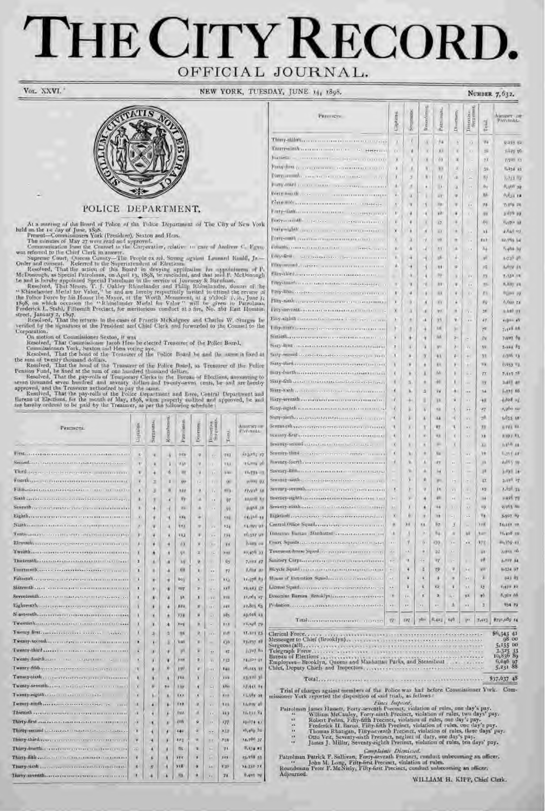# THE CITY RECORD. OFFICIAL JOURNAL.

VOL XXVI.

**NEW YORK, TUES** 



## POLICE DEPARTMENT.

At a anseting of the lineard of Police of the Police Department of The City of New York<br>
held in the 1-s any of June 17 the City of New York<br>
Free-oil - Commissioners York (President), Sexton and Hess.<br>
The minutes of May

poration.<br>Con motion of Commissioner Sexton, it was<br>Resolved, That Commissioner Jacob Hess be elected Treasurer of the Police Board,<br>Commissioners York, Sexton and Hess voting aye,<br>Resolved, That the bond of the Tecasurer

Resolved, That the hond of the Tecasurer of the Police Board to ann the same a used at the sum of twenty thousand dollars. That the board of the Treasurer of the Police Resolved, That the fixed at the sum of one husdred th

| Равшиета.                                                                                                                                                                                                                                                                                                                 | Ziptains     | Signator                 | <b>Rocolsmen</b> | Patrolonen.      | Poprtmen       | Donettes.<br>Su grants,  | $T$ cand    | AMIRICI III<br><b>PAYMILL</b> |
|---------------------------------------------------------------------------------------------------------------------------------------------------------------------------------------------------------------------------------------------------------------------------------------------------------------------------|--------------|--------------------------|------------------|------------------|----------------|--------------------------|-------------|-------------------------------|
| First                                                                                                                                                                                                                                                                                                                     | c            | ч                        | ä                | 242              | $\overline{a}$ | s'e                      | TVT         | dagang ay                     |
| Separation of the contract of the contract of the process                                                                                                                                                                                                                                                                 | q.           | <b>A</b>                 | ä                | 111              | v              | O.C                      | 153         | 115,994 off                   |
| Tord.<br>deterministrate elementers importantino                                                                                                                                                                                                                                                                          | ×.           | ×                        | g,               | W                | 14             | 14                       | <b>Trac</b> | 33,754 - 5                    |
| Fourth.                                                                                                                                                                                                                                                                                                                   | x            | E.                       | ä                | <b>SHF</b>       | j.             | 50                       | OC.         | MOND. OX                      |
| Film memorial constitution and an anno                                                                                                                                                                                                                                                                                    | ×            | 3                        | ü                | <b>ARY</b>       | ٠              | W                        | m           | Friday In                     |
| Sixth Indiana and the state of the state                                                                                                                                                                                                                                                                                  | x            | α                        | đ                | 种                | a              | ×.                       | U7          | kayance Ry                    |
| Seventh compare machiness companies                                                                                                                                                                                                                                                                                       | ï            | 谦                        | ï                | <b>WW</b>        | a.             | $\sim$                   | $-9.1$      | until 18                      |
| Lighth.                                                                                                                                                                                                                                                                                                                   | y.           | ŵ                        | x                | 124              | ٠              | $\alpha$ .               | <b>KBB</b>  | <b>CECIMILAR</b>              |
| Nighter and a contract of the contract of the                                                                                                                                                                                                                                                                             | ×            | W                        | ă                | <b>KHA</b>       | œ              | v.                       | 7.34        | <b>Kaymer of</b>              |
| Turking property and consistent and the series and                                                                                                                                                                                                                                                                        | y            | W                        | â                | 88.3             | ٠              | ¥.                       | 7.54        | 10,557 MW                     |
| Elegenth converse constructor man                                                                                                                                                                                                                                                                                         | x            | ¥                        | ń                | 63               | ×              | χņ                       | 18          | System out                    |
|                                                                                                                                                                                                                                                                                                                           | X            | ۰                        | ۸                | 放                | $\overline{z}$ | $\mathbf{L}$             | <b>XXXX</b> | 10,476 33                     |
| Thirteentha continuous construction of the con-                                                                                                                                                                                                                                                                           | ×            | ä                        | а                | $\lambda$        | ø              | $\mathbf{r}$             | ÜΝ.         | 7,993 87                      |
| Funturalh<br><b>PER TRANSPORT</b>                                                                                                                                                                                                                                                                                         | x            | ٠                        | a                | 68               | X.             | v.                       | 77          | <b>Builder and</b>            |
| <b>Fifteenth</b><br><b><i><u>INTERNATIONAL</u></i></b>                                                                                                                                                                                                                                                                    | ï            | ٠                        | ۰                | tay              | x              | LVA:                     | xo          | 37-07 <sup>8</sup> As         |
| Sixtendi and contractor contractors                                                                                                                                                                                                                                                                                       | x            | A1.                      | ۰                | m                | u.             | $\sim$ $\sim$            | x s II      | <b>xx</b> <sub>1</sub> 483 ST |
| Seventeenth<br>ALCOHOL: CALLANDIAN CONTRACTOR CONTRACTO                                                                                                                                                                                                                                                                   | ٠            | ۸                        | ¥                | VK.              | ×              | x                        | xvie        | 11,004 27                     |
| Eightenth deliveries conservation of the                                                                                                                                                                                                                                                                                  | ă            | ۱                        | ٠                | 114              | ٠              | 18.5                     | 191         | 10,805.05.                    |
| N asternth.                                                                                                                                                                                                                                                                                                               | ٦            | ×                        | ٠                | 37.4             | ä              | $-1$                     | 185.        | soyozh an                     |
|                                                                                                                                                                                                                                                                                                                           | X            | ٧                        | a                | $10+$            | ×              | $\sim$                   | 3.1.8       | 12,108,79                     |
|                                                                                                                                                                                                                                                                                                                           | X            | s                        | ä                | 19.6             | ö              | i K ki                   | 11.07       | 17, 173 25.                   |
| Twenty-tecond                                                                                                                                                                                                                                                                                                             | ×            | ۸                        | B.               | 'kan             | u              | ۰                        | Gh.         | <b>XX-FV7 38</b>              |
| Twenty-third<br><b>CONTRACTOR</b>                                                                                                                                                                                                                                                                                         | x            | <b>X</b>                 | w                | W.               | ь              | $\overline{\phantom{a}}$ | 17.         | $1.747$ for                   |
| Twenty-fourtheaster concernance and the                                                                                                                                                                                                                                                                                   | ۲            | u                        | ۷                | $y = 0$          | ø              | w                        | <b>IB</b>   | $11.1221 - 1$                 |
| Taunty-fifth                                                                                                                                                                                                                                                                                                              | $\Lambda$    | 潘                        | R)               | 3 8 1 7          | u              | ×                        | 144         | 197743-11                     |
| Twenty-sixth<br>$\frac{1}{2}$ , $\frac{1}{2}$ , $\frac{1}{2}$ , $\frac{1}{2}$ , $\frac{1}{2}$ , $\frac{1}{2}$ , $\frac{1}{2}$ , $\frac{1}{2}$ , $\frac{1}{2}$ , $\frac{1}{2}$ , $\frac{1}{2}$ , $\frac{1}{2}$ , $\frac{1}{2}$ , $\frac{1}{2}$ , $\frac{1}{2}$ , $\frac{1}{2}$ , $\frac{1}{2}$ , $\frac{1}{2}$ , $\frac{1$ | ï            | X                        | Ă                | 384              | ï              | ü                        | 33/4        | <b>CERTIFICA</b>              |
| Twenty-servicing and contributions are a consti-                                                                                                                                                                                                                                                                          | x            | ø.                       | DR.              | X (sur           | Ń              | i.                       | kSo         | 371441.94                     |
| Teamty-nighth and it is an increased to                                                                                                                                                                                                                                                                                   | ×            | ī                        | ٠                | <b>Kala</b>      | ×              | u                        | 87.0        | <b>Figure</b> 11              |
| Tumty-nothance-communi-commu-                                                                                                                                                                                                                                                                                             | $\mathbf{r}$ | ۸                        | $\mathbf{A}$     | 110.             | ×              | w                        | 148         | Takima 40.                    |
| Thietistli                                                                                                                                                                                                                                                                                                                | VX.          | я                        | s                | <b>Ture</b>      | ×              | ×                        | 113         | 10.11184                      |
| <b>Thirty-first announcement construction</b><br><b>INDUCES INC.</b>                                                                                                                                                                                                                                                      | $\alpha$     | ×                        | a.               | <b>TOTI</b>      | ŵ              | 18                       | 122         | 10074 41                      |
| Phiripsperind processors (industrially)                                                                                                                                                                                                                                                                                   | x            | š                        | đ                | E4=              | ä              | 5b                       | 大工工         | re, pro Bo                    |
| Thirty-third, resources in the states                                                                                                                                                                                                                                                                                     | m            | 峻                        | W                | 102              | ø              | n e                      | 704         | F4.280 37                     |
| Thirty-burth-conservation conservation                                                                                                                                                                                                                                                                                    | $-100$       | ă                        | Ä                | 251              | ¥.             | ka.                      | 31          | 9,154.02                      |
| Thirty-fifth contact to the construction                                                                                                                                                                                                                                                                                  | ĸ            | š                        | N                | 188              | $\mathbf{z}$   | īк.                      | zev.        | <b>HLYNNAS</b>                |
|                                                                                                                                                                                                                                                                                                                           | ٠            | $\overline{\mathcal{R}}$ | Ä                | x <sub>1</sub> 8 | ۵              | $+1$                     | x ges       | 34.257.78                     |
|                                                                                                                                                                                                                                                                                                                           | ۲            | ä                        | ă                | 69               | 2              | w                        | 74          | $0,$ and $\approx$            |

| SDAY, JUNE 14, 1898.                                                                         | NUMBER 7, 632.           |                         |                               |                 |                |                          |                   |                                                                                                  |
|----------------------------------------------------------------------------------------------|--------------------------|-------------------------|-------------------------------|-----------------|----------------|--------------------------|-------------------|--------------------------------------------------------------------------------------------------|
| <b>PERITICS</b>                                                                              | Capturns.                | berg expire.            | <i>Uman</i> <sup>2</sup> smen | linear.<br>Patr | <b>Понтиви</b> | Distrains<br>Supering    | Total             | Амлект пе<br><b><i>PAVIDALE</i></b>                                                              |
| Thingshill if it commences in the commence of the same                                       |                          | ñ.                      | ü                             | hа              | z              | ū                        | W6                | 9.915.03                                                                                         |
| Thurs-could<br><b>CAL ABRAHAMA</b>                                                           | n                        | ¥                       | ×                             | XX              | ×              | n.                       | 斐                 | <b>OU VI-IL</b>                                                                                  |
| building recommendations in a common                                                         |                          |                         | ä                             | <b>IX</b>       | x              | ٠                        | 73                | 7/593.83                                                                                         |
| Party first procession and a management of a                                                 | a.                       | х                       | ۱                             | m               | 耳              | i.                       | 39.               | 5,254 85                                                                                         |
| Paryamento a conservativo con conservativo de la ca                                          |                          | 3                       | N                             | N               | a.             | ×                        | fiz.              | $1.7.11$ TO                                                                                      |
| PROPERTY CONTINUES SECTIONS CONTINUES.                                                       | ×                        | x                       | H)                            | $\mathbf{a}$    | <b>A</b>       | vA.                      | ū4                | 5,000.39                                                                                         |
| Forty toucht, as an                                                                          | ¥,                       | $\overline{\mathbf{a}}$ | ı                             | 69              | u              | ш                        | AR-               | 0,031 18                                                                                         |
|                                                                                              | ×                        | $\mathbf{u}$            | s                             | 179             | ٠              | $\mathbf{r}$             | 78                | With an                                                                                          |
| Entre-automonismente de environne                                                            | n                        | W                       | 屋                             | 46.             | ü              | u                        | WX                | 1479.97                                                                                          |
| Engy-could represe conversion or or<br>Pontgraduable company and contract commitments of a   | ¥.                       | ¥                       | $\overline{\mathbf{a}}$       | $\Lambda$ 7     | ü,             | $\alpha$                 | 6s.               | <b>Current Will</b>                                                                              |
| Pitty-only communication construction of                                                     | x                        | ×                       | N                             | а               | ×              | $\sim$                   | $\overline{11}$   | 40045-01                                                                                         |
| Email communication of the past of the                                                       |                          |                         | y                             | 188             | m              | $x +$                    | 817               | <b>BLYNE BE</b>                                                                                  |
| bligated consumers and the community                                                         | v.<br>y.                 | a                       | d                             | NY              | $\alpha$<br>a. | ×                        | Tų.               | $7 + 4768 - 367$                                                                                 |
| Integrational conservation communities are a conserva-                                       | ø.                       | ä<br>и                  | ĸ                             | 60<br>4A        | $\omega$       | z.                       | 10.               | 14230 40.<br>Army In                                                                             |
| Elity-dilting proprietors to proprietorism                                                   |                          | ×                       | š<br>ä                        | DΨ              |                | ×.                       | 苏石<br><b>YS</b>   | <b>T-531 MI</b>                                                                                  |
| Fitzy-Mitth concernance conservation of executive and                                        | ×                        | ٠                       | v                             | üκ              | ×<br>¥         | n<br>$\mathbf{r}$        | W.                | 6,837.49                                                                                         |
| Fitty-filthcooptive-service-techniques of the the                                            | ٠                        | W                       | ă                             | H.K             | x              | K.                       | DY.               | FLOW: YOU                                                                                        |
| Fifty-sixth convergencements on a<br><b>GERMANIA</b>                                         | ï                        | ü.                      | N                             | N/2             | ٠              | ٠                        | w                 | A 660 7.4                                                                                        |
| Fifty-mynth contractor conservative contractor                                               | ×                        | N                       | $\lambda$                     | 10 <sub>1</sub> | ×              | v.                       | 39                | 6340.93                                                                                          |
| Fing-rightly concerns the community interpretations of                                       |                          | ٠                       | a                             | 35              | W.             | i in                     | 47.               | 41014-47                                                                                         |
| Engelstützteren eine ereinen einem einem                                                     | r                        | đ                       | ۰                             | FLAT            | ×              |                          | $7^{\frac{1}{2}}$ | 7/118.88                                                                                         |
| Sixtitu<br>------ <del>--------------</del>                                                  |                          | ٠                       | ۹                             | W               | Þ.             | a.                       | TV.               | <b>ZINVE FUL</b>                                                                                 |
|                                                                                              | r                        | x                       | ä                             | W.              | ×              | v.                       | NG.               | Sywan Wg                                                                                         |
| Supposed concentration concerning may                                                        | x                        | ٨                       | ×                             | 41              | ÷.             | x                        | MX.               | 41,555,123                                                                                       |
| maty-tourd.<br>1977 PERSONAL PROPERTY AND LODGED                                             |                          | N.                      | ñ                             | R.L.            | ä              | A.C.                     | 宮屋                | 6453.03.                                                                                         |
| Bidy-burth is a receiver construction of the country of                                      | χ                        | ۰                       | k.                            | Mi              | X              | $\alpha$ $\sim$          | $\overline{I}$    | 7.111.78                                                                                         |
| Sidy-filli cross motive or contract and contract of                                          | x                        | R                       | ۰                             | 喇               | X              | i ki                     | 19                | 3/41E am                                                                                         |
| Sixty-than complex and construction and the                                                  | к                        | ¥.                      | з                             | 24              | à              | 18.8                     | 34                | <b>J-171 RS</b>                                                                                  |
| histy-seventh conservation conservation of the                                               | ı.                       | de.                     | ĸ                             | 1K              | ü              | ××                       | 48                | 1,008.02                                                                                         |
| Siny-eighth                                                                                  | ř.                       | ä                       |                               | $\lambda_{12}$  | ĸ              | $\scriptstyle\star\star$ | 27                | $n$ , post-car-                                                                                  |
| Sharp-alather concert contains and contained to a contact                                    | - 6                      | ä                       |                               | л               |                | W.X.                     | vili.             | siles an                                                                                         |
| Sevented based commences a commencement                                                      |                          | J                       | ٦                             | WY              | t              | KX.                      | 18                | <b>DYAN HA</b>                                                                                   |
| severity-first concernance conservative places                                               |                          | ı                       | u)                            | W               | K              | 73                       | K4                | TODAY R.V.                                                                                       |
| Beardly-serious construction of the control of the control of the                            | 100                      | Y                       | ×                             | ×               | K              | $\alpha$ .               | m                 | 11177 11                                                                                         |
|                                                                                              | ¥.                       | N                       | ٠                             | 384             |                | ×.                       | W                 | 1311 47                                                                                          |
|                                                                                              | $\overline{\mathcal{X}}$ | Q.                      | ß.                            | RY.             | 100            | 188                      | л                 | <b>WOLF TO</b>                                                                                   |
| Severity-lifth concern consideration concern concerns                                        | viv.                     | ж                       | ä.                            | M               | 11.1           | (111)                    | $\mathbf{H}$      | 3,000 34                                                                                         |
| Second with proposed construction and                                                        | $n-$                     | s                       | ñ                             | BOX.            | h.             | CO.                      | 47.               | $2.990 - 27$                                                                                     |
| Servaty-repulsos con construction and a                                                      | $\blacksquare$           | y                       | v                             | и               | n              | O.C.                     | 13                | 2.850 mi                                                                                         |
|                                                                                              | ka.                      | V.                      | ×                             | an:             | os.            | $\rightarrow$ C          | u                 | <b>HASE 70</b>                                                                                   |
| Seventy-minhason constructions of theme.                                                     | 3.4                      |                         | ۸                             | W               | m.             | n.                       | 60                | system Alley                                                                                     |
| Elgidial proposition in proposition of the con-                                              | x                        | ä                       | ٠                             | <b>KW</b>       | $-1$           | sk.                      | 0s                | 5/297 47                                                                                         |
| Central Office Squatherment continues and continued                                          | ٠                        | н                       | 14                            | 57.             | 3              | (1,1)                    | <b>VAIR</b>       | TELET VA                                                                                         |
|                                                                                              | w                        | 3                       | $\theta$                      | RG.             | N              | W                        | 1.07              | <b>15,458 IN</b>                                                                                 |
| Fourt Squide, an improvement of continuation of any                                          | 811                      | v                       | n.                            | 135             | x e            | ×                        | kym               | $m_1 + p_2 - q_1$                                                                                |
|                                                                                              | a.                       | $\sim$                  | ٠                             | 24              | J.             |                          | ii N              | 3/813 110                                                                                        |
|                                                                                              | 1n                       | u                       | $\leftarrow$                  | $\equiv$        | $\mathbf{r}$   |                          | va                | 3.197.54                                                                                         |
| Ricyde Squad contractor concernance and contractor                                           | ¥.                       |                         | ×                             | 79              | u              | 14                       | <b>MM</b>         | M-534 MF                                                                                         |
| House of Detention Squadrance of a connection of                                             | $\pm 1$                  | ä,                      | $\boldsymbol{x}$              | id.             | ×              | $\mathbf{H}$             | u                 | <b>043 RV</b>                                                                                    |
|                                                                                              | 66                       | ×                       | ĸ                             | 12              | Ŧ              | $\mathbf{H}$             | ш                 | <b>TIBUR RO</b>                                                                                  |
| Detective Barran Branklynianos concernances on                                               | m                        | $\mathbf{1}$            | ĸ                             | a.              |                | 祥                        | w                 | 0,301.00                                                                                         |
|                                                                                              | $\ddot{\phantom{1}}$     | $\ddot{\phantom{1}}$    | $\bullet$ X                   | g c             | А              | ××                       | а                 | <b>V54 79</b>                                                                                    |
| Tenhammannessession and                                                                      | $\overline{H}$           | <b>IPZ</b>              | $7b +$                        | 6,477,10        |                | igex.                    |                   | <b>THE WILDS IN</b>                                                                              |
| Clerical Force, and comprehensive construction of the state and contract to the state of the |                          |                         |                               |                 |                |                          |                   | 50,343, 41<br><b>08 00</b><br>5,155 DO<br>$3 + 325$ 33<br>10,836 86<br>$6.046$ 97<br>\$37.037 48 |

Trial of charges against members of the Police was had before Commissioner York. Commissioner York reported the disposition of said trials, as follows :

Somer York reported the disposition of said trials, as numerically and trials of the second trials, and the second term of the second term is a William McCauley, Forty-minth Precinct, violation of rules, two days pay.<br>
Wil

Complaints Dimisson.<br>
Fatrolman Patrick F. Sullivan, Foury-asymph Presinct, conduct unbecoming an afficer.<br>
M. Long, Fifty-first Precinct, viniation of rules.<br>
Roundsman Peter F. McNiely, Fifty-first Precinct, conduct unbe Adjourned.

WILLIAM H. KIPP, Chief Clerk.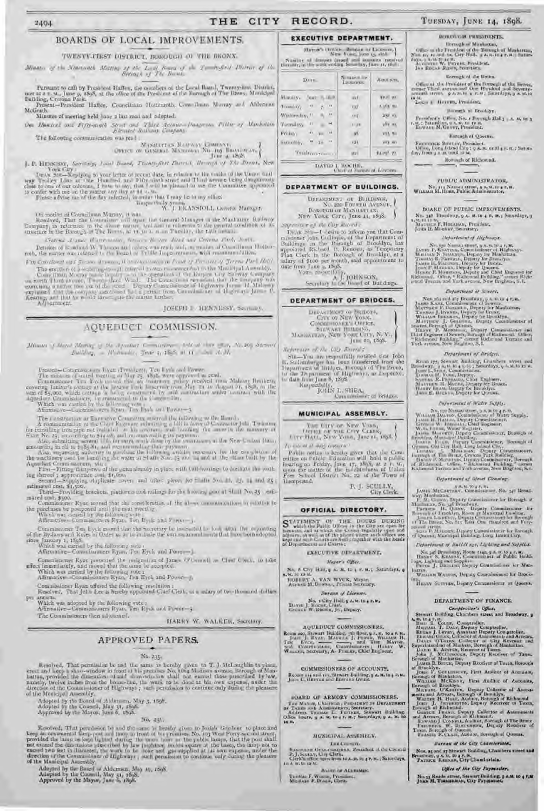#### **CITY** RECORD. THE

#### **EXECUTIVE DEPARTMENT.** BOARDS OF LOCAL IMPROVEMENTS.

## TWENTY-TIKST DISTRICT, ROROUGH OF THE BRONX.

Parsumt to call by President Haften, die members at the Local Board, Twanty-first District, met at 2.3. $\mathbf{u}_{1:t}$ June 9, 1595, at the office of the President of the Borough of The Brows, Manicipal Dalbing, Crosona Park. Present-President Haften, Counciliaan Hottenasth, Counciliaan Mussay and Ablerman McGrath.

Minutes of meeting held June 2 last read and adopted. On Daniel and Erferand Serie and Third Acoust Naugrous Piller of Mankathin

The following contmunication was read ;

MANAGEMENT BARRAY COMPANY

Tune at 1868. J. P. HENESSY, Selectory, Load Board, Tussen-first Dates.), Bernard of The Broad, New

**J. P. HENDERS, Service, case over, received**, and the relation of the trades of the Union Gall for the Chysical to your letter of recent date, in relation to the trades of the Union Gall way. Trolley, Line at this Fluid

Un model of Cosmithman Murray, it was its account Manager of the Mashmann Railway<br>Readved, Ther the Countine will upon the General Manager of the Mashmann Railway<br>Company, in reference to the short masse, and also is colle

Crateria Assume Warrenwides, between the tent detail and Crowna Park, South,

Detailers of its which W. Therma and covers was ready and, an market of Countillman Hother-rolb, the matter was relatively to the board of Public Logroveniance, with readmontalities,

Fon Constance and Section Associated Management in Paul of Towner of Jersey Part Hell (1967) The excellent of a seatern point of our of the seatern in the Musicipal Account),<br>
Communication Musicipal Accounts the Musicipal Accounts of the Communication of the Communication<br>
communication of the Communication of t

IOSEPH J. HENNISSY, Searman,

## AQUEDUCT COMMISSION.

Minim of high Mann, is the Apostus C. Stevens, 1980 of the same of Action Stevens  $\textit{fluidflow}_1 \ = \ 10 \ \textit{density}, \ \textit{Time} \ \eta, \ 4888, \ \textit{at} \ \textit{11} \quad \textit{and} \ \textit{A}, \ \textit{M}_1$ 

 $\label{eq:main} \begin{array}{ll} \textbf{Present} = \textbf{Common} \cup \textbf{test} \cup \textbf{test} \cup \textbf{test} \cup \textbf{test} \cup \textbf{test} \cup \textbf{test} \cup \textbf{test} \cup \textbf{test} \cup \textbf{test} \cup \textbf{test} \cup \textbf{test} \cup \textbf{test} \cup \textbf{test} \cup \textbf{test} \cup \textbf{test} \cup \textbf{test} \cup \textbf{test} \cup \textbf{test} \cup \textbf{test} \cup \textbf{test} \cup \textbf{test} \cup \textbf{test} \cup \textbf{test} \cup \textbf{test} \$ 

The constraints or Extrader Commute matrix the following as the Based . A remaining to a Extrader Commuting a bill in large of Contractor (the Twinter for the spin-box pipe not usual at the contrast, and together the same

Aquadant Commissioners, which<br>First-Fitting thermody in the pater already in place with bull-bootings to horizon the working decreed a separation<br>ing decreed a separation conditions covers and other pieces for finite from

estimated cost, \$1,500. There is platforms and rollings for the booms, post at 50.00 No.25 , esti-

mated trax, \$300.<br>Commissioner Ryan moved that the consideration of the above communications or relation to

the pareliases be postponed until the mot precising,<br>Which was carried by the following with  $\label{eq:R1} \begin{array}{ll} \text{Whelv was} = \text{Original integers} \ \mathbb{F} \text{path} \ \mathbb{T} \text{ on } \mathbb{B} \text{, the and } \mathbb{P} \text{ over } \mathbb{F}_q, \end{array}$ 

Commissioner Ten Eyek moved that the Secretary be point fold to be a 400 De counting of the Dy-lays and Kules of Order as a to include the various animal and that two born adopted  $\begin{minipage}[c]{.4cm} \begin{minipage}[c]{0.4cm} \begin{minipage}[c]{0.4cm} \begin{minipage}[c]{0.4cm} \begin{minipage}[c]{0.4cm} \begin{minipage}[c]{0.4cm} \begin{minipage}[c]{0.4cm} \begin{minipage}[c]{0.4cm} \begin{minipage}[c]{0.4cm} \begin{minipage}[c]{0.4cm} \begin{minipage}[c]{0.4cm} \begin{minipage}[c]{0.4cm} \begin{minipage}[c]{0.4cm} \begin{minipage}[c]{0.4cm} \begin{minipage}[c]{0.4cm} \begin{minipage}[c]{0.$ 

Commissioner Ryan presented the resignation of James O'Committee Charles to take effect immediately, and moved that the same be accepted. Which was carried by the following vote a Afirmative-Commissioners Ryan, Ten Eyek a

Commissioner Ryan offered the following resolution:<br>Resolved, That John Lee is bereby oppointed Chief Clerk, us a salary of two thousand shellars annum.  $10-$ 

Which was adopted by the following vote :<br>Affirmative-Commissioners Ryan, Ten Eyck and Power-3

The Commissioners then adjourned.

#### HARRY W. WALKER, Secretary.

## APPROVED PAPERS.

#### No. 235.

Herebeck, That permission be and the same in be<br>rely piven to T. J. McLaughlin to phase-erect and seep a show-window in front of his premises<br> $N\alpha$ , then Walton avenue, Barough of Manhattan, provided the dimension of said of the Manicipal Assembly.

Adopted by the Board of Alderman, May 3, 1598.<br>Adopted by the Council, May 31, 1595.<br>Approved by the Mayor, June 6, 1595.

 $No.  $15b.$$ 

Resolved, That permission be and the same is benday given to Josiah Gardner to place and<br>keep an oranmental florip-post and linep in front of bis promises, No. (by West Porty wood street,<br>provided the lamp be leep by late of the Municipal Assembly.

Adopted by the Board of Aldermen, May 10, 1598.<br>Adopted by the Couwell, May 31, 1898.<br>Approved by the Mayar, June 6, 1898.

#### $\begin{array}{l} \text{Max}(\mathbf{a}^{\mathbf{a}}), \text{trace} - \text{Bessel} \text{ or Lie} \text{trace},\\ \text{Area} \text{ para } \mathbf{q}_1 \text{ odd}. \end{array}$ Suniter of Remove taxed and amounts receive Simon by Days. Amnam. Minday, Jan 5, 18.9 **WYIE UF** 437  $T$  conclute  $\chi$  $\alpha = \frac{1}{2}$  ,  $\alpha$ 1.10s m. XX7  $\eta_1$  . Wintmenbry, 11  $m_{\rm T}$ 257.13 Viewalax, 11  $\pm$   $^{2}$  $1.77$ affe mg  $\Delta v_{\rm c, 100}$   $^{-14}$ Friday.  $\overline{\mathfrak{a}}$ VIS NO Butchley, " 36 **HIL** way an Tuals corrections **Waterpoor** uyi  $=$ **TAVID 1, ROCHE, ...**<br>Unit at Hanna at Licenses.

#### DEPARTMENT OF BUILDINGS.

DETAILMENT OF BUILDING, Newton, **BOROPGII OF MANHAULAN** NEW YORK CITY, June 11, 1898.

Superior of the Cay Roord :

ITEAR SUB-I desire to inform you that Com-IN AR  $>0$ -1 elevre to integra you that Com-<br>mighting an the Department of<br>Buildings on the Borough of Broadlyn, has<br>appointed Richard P. Remsen, as Temporary<br>Plan Clerk in the Borough of Broadlyn, at a<br>mility of 5100 per

### DEPARTMENT OF BRIDGES.

DEPARTMENT OF BRIDGES, CITY OF NEW YORK,  $\begin{array}{c} \text{StrWAT Hultings},\\ \text{Maximtrain, New York City, N.V.,}\\ \end{array}$ 

June 10, 1898. Reportion of the CID Rowsell  $\begin{tabular}{l|c|c|c} A system are at the top-vertex. \\ \hline St.-Mm-ave spectrum (both 1) is obtained by a single-space function of the Brown's 10000, but the Department of Higgs, through of the Brown's 10000, to data from June 8, 1898. \\ \hline A system (10118) I., SHEA, Comonissimers of Bridges. \\ \hline \end{tabular}$ 

#### MUNICIPAL ASSEMBLY.

THE UITY OF NEW YORK, **THREE OF THE CITY CERRY**<br> **LITY FLICE, NEW YORK, Jane 11, 1898.** 

To mount it was concrete Public mitias is hereby given that the Committee or Pablic Education will bold a public locating on Friday, June  $(\tau_1, 1865, 50, 20, 50)$  upon the matter of the mid-bundness of Union Free School District No. 22 of the To **Hempstead**,

 $\mathcal{P}_i$ J. SCULLY, City Clerk.

#### OFFICIAL DIRECTORY.

**EXECUTIVE DEPARTMENT.** Mayor's Office.

No. 8 Cuy Hald,  $\mathfrak g$  at an to  $\mathfrak g$  r,  $\mathfrak m,\mathfrak r$  Saturdays,  $\mathfrak g$  s, so, i.e. as at

 $\begin{array}{l} \text{HODB RT A. VAN WYER, Ahydro,} \\ \text{Aerass M. Dovss, Prisate Sercary,} \end{array}$ 

Derain of Licenses. No. 1 City Halb 9 A. W. to 4 P.W.<br>David J. Kocar, Chief,<br>Grosos W. Biows, Jr., Depay.

AQUEDUCT COMMISSIONERS, Room soo, Stewart Building, 3h floor, 92, 8, 10 a F. 8, 1001 J. Ryan, Maynics, 3, Puess, Wittmar H. The Maynics, Maynics, J. The Maynics, Wittmar H. Says, Contribution, Commissioners, Hanvy W. Warsen, Screener,

COMMISSIONERS OF ACCOUNTS. Rooms 114 and 115, Strwart Building, 9 A.M. to 4 P.M.<br>Jones C. Harriss and Bowlers Gwant

**BOARD OF ARMORY COMMISSIONERS.** The March, Chairman , Putsineser so Daragramer<br>of Taxas solo Annison, Secretary, Andreas Tomato L. Furnant, Secretary Indiding:<br>Office Inuris, a str. to a r. M.; Samulays, g A. M. 10 12 Ma

#### MUNICIPAL ASSEMBLY,

Title Council.  $\mathbb{R}$  and an interesting the Control of the Control Clerk  $\mathbb{P}_1$  , Section, Clerk Clerk. <br> Clerk and the first first state of the Control Clerk's the control of<br>  $\mathbb{R}$  and  $\mathbb{R}$  and the state of<br>  $\mathbb{R}$ 

Boats or Athenass. Tunta: F. W. ......., Prosince.<br>Median F. Brass, Chris.

## TUESDAY, JUNE 14, 1898.

#### BOROUGH PERSONNEL

### Dorogher Minhston,

Office as the President of the Bennigh of Machannas, New  $\alpha$ ,  $\alpha$  and  $\alpha$  Gity Hull,  $\beta$  A  $\lambda, \nu\in\alpha$  is an association of  $\lambda$  and  $\alpha$  and  $\alpha$  and  $\alpha$  and  $\alpha$  and  $\alpha$  and  $\alpha$  and  $\alpha$  and  $\alpha$  and  $\alpha$  and  $\alpha$ 

Borough of the Bronx. Office at the President of the Perrogle of the Berne, meters Third average and Ore Handled and Severaly, as well as the  $\phi$  A-ta-ta  $q$  is  $m$  . Seminallying a  $M_{\star}$  to

Long to Harring Promisent.

**Hoogh of Broadlyn.** 

 $\mbox{P}(\min\{m\})$ Offers, Neo $x$  Borough Hall<br/>p $y$ a, ng $w$ g $y$ a, ng ting ng ting ng ting ng ting ng ting ng ting ng ting ng ting ng ting ng ting ng ting ng ting ng ting ng ting ng ting ng ting ng ting ng ting ng ting ng

Harcuch of Queens.

 $\begin{array}{c} \text{Fermonex } \text{Bomonex } \text{Peronder}_1\\ \text{Ufor} \text{e}_1 \text{ Com } \text{I-dend } \text{Cap}_1 \text{ g.s., and}\\ \text{d}_B, \text{Hom } \text{g.m. and } \text{Cap}_1 \text{ g.s., and}\\ \text{d}_B, \text{Hom } \text{g.s., and}\\ \text{u.g.}\\ \end{array}$ 

Borongh of Richmond.

**PUBLIC ADMINISTRATOR,** No. 119 Namon street, 9 A.W. O a F. H.<br>WILLIAM M. HORS, Public Administrator,

**SOAKU OF PUBLIC IMPROVEMENTS.** No. 340 Hamilton, 9, 9 $A$ , 8, 10 $4$  F, Reg Smundays, 9, 8, 10 $12$  R. Hamilton, Franklin, President, 8, 1000 K, 1000 K, 1000 K, 1000 K, 1000 K, 1000 K, 1000 K, 1000 K, 1000 K, 1000 K, 1000 K, 1000 K, 1000 K, 1000 K, 1000 K

#### Department of Highways.

 $\label{eq:2} \begin{array}{ll} \textsc{Spec} \textsc{arg} \textsc{arg} \textsc{arg} \textsc{arg} \textsc{arg} \textsc{arg} \\ \textsc{Nex} \textsc{arg} \textsc{Pr} \textsc{Ness} \textsc{arg} \textsc{arg} \textsc{arg} \textsc{arg} \textsc{arg} \textsc{arg} \textsc{arg} \\ \textsc{Ness} \textsc{arg} \textsc{Ness} \textsc{arg} \textsc{arg} \textsc{arg} \textsc{arg} \textsc{arg} \textsc{arg} \textsc{arg} \\ \textsc{Tr} \textsc{Ness} \textsc{Pr} \textsc{Ness} \textsc{log$ 

Department of Scuert,

New signal and any Broadway, p. a. M. to 4 P. M.<br>
Janet K.com, Commissioner of Sewern,<br>
Martins F. Mondan, Deputy for Madalama,<br>
Tauman J. Ryonns, Deputy for Broadway,<br>
Witters Warrange, Deputy for Broadway,<br>
Witters J. Ry

Department of lividges.

Br.

Reem 177; Stewart Building, Chambers when and  $\mathbf{b} = -\mathbf{b}$  and  $\mathbf{b} = -\mathbf{b}$  and  $\mathbf{b} = -\mathbf{b}$  and  $\mathbf{b} = -\mathbf{b}$  and  $\mathbf{b} = -\mathbf{b}$  and  $\mathbf{b} = -\mathbf{b}$ . Commission, Chambers when a Lundon Building, Chamber

Difurtement of Water Supply.

Department of Girect Country-

Form of the Commonweal Commonweal and the start of the Commonweal of the Commonweal of the Commonweal Commonweal Commonweal Commonweal Commonweal Commonweal Commonweal Commonweal Commonweal Commonweal Commonweal Commonweal

zwood Arter.<br>- Jeans P. Mikroen, Deputy Commissioner for Barough<br>of Queens, Manteipal Bailding. Long. Lawns Cay.

Department of Buildings, Lighting and Supplies. Net of Brewlery, Researching of  $m/s$ ,  $\mu$  on  $m$ ,  $\Gamma$  and  $\Gamma$   $\Gamma$  is an experiment of Fublic Band,  $\log n$ , Leriton and Supplies.

barren, WALTON, Deputy Commissioner for Brook-Witness

TELEV S. TTHIN, Deputy Communismer or Queens.

DEPARTMENT OF FINANCE.

Comptroller's Office,

Completed of the Content of Media (2002)<br>
A. 6. to 4 P. 6.<br>
Next Books, Content of the Media (2003)<br>
Next Theory, Compareller, Marchan J. Layay, Deputy Compareller,<br>
Next Theory, Compareller, Evans J. Layay, Deputy Compare

JAMES B. Boottis, Deputy Receiver of Taxes, Bootsystally, Journal Controllers, The Walton Controllers, Warrante Boothlyn, Warrante Walton, Warrante Marcuster, Deputy Collector of Assessment Marcus Chemical Marcus Chemical

Barran of the City Chamberlain.

Nos, as and ay Stewart Building, Chambers street and<br>Broadway, g. s. sr. to a r. s.<br>Parruck Knosan, City Chambariain.

Office of the City Paymaster.

No.33 Reads attract, Stewart Building, p a.u. to 4 P.M.<br>John H. Transatiesm, City Psymanter,

JAMES McCartnay, Commissioner, No. 340 Broad-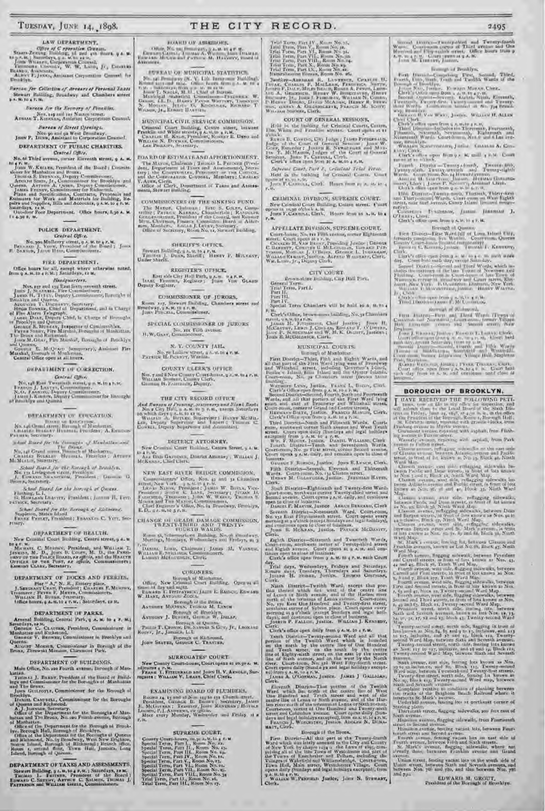## LAW DEPARTMENT.

Bureau for Collection of Arrears of Personal Taxes Stewart Raililing, Broadway and Chambers street

Bureau for the Economy of Penalist.

Nov. 119 and 122 Nation street.<br>ADMAN T. KIRSSAN, Ambriant Corporation Counsel. Bureau of Street Openings.

 $\label{eq:3} \begin{array}{c} \textbf{Non-}\textbf{so}\text{ and }\textbf{ge West } \textbf{Bimulway}.\\ \textbf{Jouw } \mathbf{P}_+ \textbf{ Hunsy, Azzistant to Corporation Count=I}. \end{array}$ 

DEPARTMENT OF PUBLIC CHARITIES. Central Office.

No. of Third avenue, corner Eleventh street, 9 A. M. found W. Kutaun, President of the Board : Commis-

Joan V. Kutata, President of the Board : Lonents-<br>
Monet by Manhalton and Bronx, Commession;<br>
Headway, Hepaxy, Commession;<br>
Anonos Sunn, Jr., Commission; For Bronkyn and<br>
Overus, Antonio A, Commission; Depay, Commission;<br> I 4 4:30 P. M.

#### POLICE DEPARTMENT.

Central Office. No. 300 Mullerry street,  $q$  x, m, to  $q$  r, m. Here, e.g. J. Deep, J. Voew, President of the Beard  $\gamma$  Jesus Status, Jacob Here, Commissioners,

FIRE DEPARTMENT.

Office hours for all, earnpt where atherwise natali,<br>om q A.S. to 4 c.M.; Saturdays, to M. ß.

Handquarters.

Handparters, Managemeters, Band and the United States of the United States of American Handburd (Bandburd American Management Channel American Control of American Channel American Channel American Channel American Channel

## DEPARTMENT OF CORRECTION.

Central Office:

No. 148 East Twentieds strength at Kin 1 root.<br>
France J. LASTry, Commission.<br>
No. 6 Fances, Deprey Commission.<br>
As 6 Fances, Deprey Commission.<br>
As a set of Root (young Commission.<br>
of Rootlyn and Quartia

#### DEPARTMENT OF EDUCATION,

 $\begin{tabular}{l|c|c|c|c|c|c|c|c} \hline & & & & & & & & & & & & \\ \hline $S$ & $t_1t_1$ & $G(t_1t_1)$ & $G(t_1t_1)$ & $S(t_1t_1)$ & $S(t_1t_1)$ & $S(t_1t_1)$ & $S(t_1t_1)$ & $S(t_1t_1)$ & $S(t_1t_1)$ & $S(t_1t_1)$ & $S(t_1t_1)$ & $S(t_1t_1)$ & $S(t_1t_1)$ & $S(t_1t_1)$ & $S(t_1t_1)$ & $S(t_1t_1)$ & $S(t_1t_1)$ & $S(t_$ 

 $\begin{array}{ll} \hbox{\small \texttt{add Rate}}\ \textit{Start} \ \textit{for the function of} \ \textit{Mational and} \\ \hbox{\small \texttt{Min-10}}\ \textit{Grand sum} \ \textit{The function} \ \textit{Mational and} \\ \textit{Min-10} \ \textit{Grand sum} \ \textit{Hational} \ \textit{Mational}, \\ \textit{Unattall} \ \textit{Stochastic} \ \textit{Hational} \ \textit{Hational} \ \textit{Mational}, \\ \textit{M=Motting} \ \textit{Sortary}. \end{array}$ 

 $\begin{array}{c} \textit{Stessil-Nest-jar} \textit{if } \textit{Rosupl} \textit{if } \textit{Bosupl} \textit{if } \textit{Bosupl} \textit{if} \\ \textit{Ne-in-Dosupl} \textit{if } \textit{Bosupl} \textit{if } \textit{Bosupl} \textit{if} \\ \textit{J}_1 \textit{Conv} \textit{for } \textit{Sosawr} \textit{if } \textit{Bosupl} \textit{if } \textit{Bosupl} \textit{if } \textit{Bosupl} \textit{if } \textit{Bosupl} \textit{if } \textit{Bosup$ 

School Duted for the horsings of Queens.<br>Fluting, L. I.<br>G. Hownamic Luaverry, Traildent (Jeanne H. Terre<br>Cuick, Souveary.

Scharf Berrid for the Borough of Richmand.<br>Stapleton, Staten Island.<br>Fanns: Peerter, Franklent; Fanns: C. Verr, Sec-

#### resury. **ОПРАВТМЕНТ ОР НЕАLTH.**

New Criminal Court Bushing, Centre street, p 4. W to 1 et al. C. Monero, President, and WHILEM T. Micrower, M. D., the Packanianse of T. D., Jone C. Court, M. D., the Packanianse of the Packanianse of the Packanianse of the Packanianse of the Packanianse of the Packanians

DEPARTMENT OF DOCKS AND FERRIES,

For  $^{\mu}$  A," N. J., Banery place.<br>
J. Sancoasy Caasi, President; Ca.ar.es F. Mosrav,<br>
France: P. President; Ca.ar.es F. Mosrav,<br>
Witzian F. President, Commissionets,<br>
Office bours, q A. M. to 4 P. M. (Saturdays, rs H. TF1

#### DEPARTMENT OF PARKS.

Arsenal Building, Central Park, q A. M. to 4 F. M.1 Sanadays, 1931. CLAUSES, President, Commissioner in Mechanica and Euchemand. Generalistics in Brooklyn and Generalist. Queens Monaca, Commissioner in Borough of the Brans, Throwski Monaca, Chrowski

#### DEPARTMENT OF BUILDINGS.

Main Office, No. 220 Fourth avenue, Berough of Man-THOMAS J. BRADY. Pre-ident of the Boxed of Buildings and Commissioner for the Borongha of Manhattan and The Braux. hatian

GUILFOYLE, Commissioner for the Horough of Juun (<br>ooklyn Bř

Frocklyn, Communications of the horough of the communications of the state of the state of the state of the communications of the Communications of the Communications of Mandatan and The Bronz, No. 220 Fourth averson, Boro

DEPARTMENT OF TAXES AND ASSESSMENTS. Stewart Hulding, p.s. a, to 4 P.M.; Saturdays, 19 M. Thomas L. Farraum, President of the Board I. Don't L. Shinker, Hundai L. Arrives C. Shinker, Hundai L.

## THE CITY RECORD.

## HOARD OF ASSESSING.

Citate, N.C. in January, p.s. in an all the control of the Citate Citate Citate Citate Citate Citate Citate Citate Citate Citate Citate Citate Citate Citate Citate Citate Citate Citate Citate Citate Citate Citate Citate Ci

SUREAU OF MUNICIPAL STATISTICS.

 $\begin{tabular}{l|c|c|c|c|c} \hline $P$ & $\mathsf{10} \to \mathsf{10} \to \mathsf{10} \to \mathsf{10} \to \mathsf{10} \to \mathsf{10} \to \mathsf{10} \to \mathsf{10} \to \mathsf{10} \to \mathsf{10} \to \mathsf{10} \to \mathsf{10} \to \mathsf{10} \to \mathsf{10} \to \mathsf{10} \to \mathsf{10} \to \mathsf{10} \to \mathsf{10} \to \mathsf{10} \to \mathsf{10} \to \mathsf{10} \to \mathsf{10$ 

MUNICIPAL CIVIL SERVICE COMMISSION. Crosses Court Building, Centre street, between Franklin and White street,  $q$ A. V. de $q$ o, M. Whater H. Knox, Draman, Roman, Roman, B. Dayer and Lan Phulatra, Scarttery.

BOARD OF ESTIMATE AND APPORTIONMENT. The MAYON, Chairman ; Totatas L. Fournou (President, Department of Taxes and Assessment), Search and Assessment), Search and Assessment, Manuscript in Computation, President and Computation in the Computation Contract of

COMMISSIONERS OF THE SINKING FUND. The Maxon, Clutinon: Bare 5, Count, Comparison: Warner, Kanasa, Chambridgi, Rasponen<br>Willer, Parama, Kanasa, Chambridgi, Rasponen<br>Willer-Burroun, Finalty, Chambridgi, and Nobel<br>Memoriana, Monten, Maria J. Latery, Secretar

# SHEEIFF'S OFFICE.

Siewart Bulbling, g A. St. to 4 P. M. Thursday, Thursday J. Dusk, Sheriff; Haway P. Motewasy,

REGISTER'S OFFICE. East side City Holl Park, u.s.m. w.s. N.M.<br>Lange Frances, Register: John Von Grann

**COMMISSIONER OF JURGRS.** Room  $\arg$  Stewart finitions. Chambers street and Busedway,  $q$  A.H.  $\Omega\approx 0.46$ .

SPECIAL COMMISSIONER OF JURORS No. 111 FOR avenue.<br>H.W.Gasv. Commissioner,

N. Y. COUNTY JAIL No. ye Ludlew street, a A. M. to a K. M.<br>Partitive H. Picentry, Wandin.

COUNTY ULERK'S OFFICE. Nos, yand 8 New County Count-home, gol, w. tugo, u.<br>Witation Suntany, County Clerk,<br>Guinea H. Faurascit, Depaty.

#### THE CITY RECORD OFFICE

And Hurrows of Presence, contributely and Hand Hands New City Hill, a 4-8- to  $\pm$  7-  $m_{\pm}$  category Saturdays on which mays a  $\pm$  0.0  $\pm$  7-  $m_{\pm}$  category Saturdays on Wilsenbury Wilsenbury All Hands All Hands Sup

#### DISTRICT ATTORNEY.

New Crootsal Cover Building, Centre Street, g & M. in 4 P.M. And Garnessie, Bearlet Attorney , Witness J. McKesse, Chief Clerk,

NEW EAST RIVER REIDGE COMMISSION.

 $E, D_{11} \le A, M, O \le P, M.$  $\begin{tabular}{ll} \textbf{CHASGE} & \textbf{H} & \textbf{GEAIA} & \textbf{DAMAGE COMMISSION} \\ \textbf{TWES1Y-THIBD} & \textbf{AND} & \textbf{TWES1Y} \\ & \textbf{FUIB1H WABS}, \end{tabular}$ 

Room 33, Schermsrkorn Building, No. of theodway,<br>Mostings, Mondays, Wednesdays and Trelays, 41-3

DARISK LORD, Chairman JARUS M, VAKNER,<br>Velland Flöttelines Chairmanners, M, VAKNer,<br>Lamber Metachineles, Chefe Ŵ

#### CORONERS.

 $\begin{array}{c} \text{However, at quarks}\\ \text{Pautr }T,\text{Cylow\_DR},\text{Dm,2s,1994}\text{ S-G-}v_{r}\text{ }fv_{r}\text{ Lwox\_100}\\ \text{Rosterr, }Jr_{r}\text{ Jamatic},\text{L},L\end{array}$ 

# Borough of Richmond,<br>Joan Stayer, General C. Thasynn,

SURROUATES' COURT. New County Court-house, Court opens at 10.30 A. W. SCHULLER PLAN: FRAME AND JOINT H. V. ARNOLD, SUPPORTS : WILLIAM V, LEART, Chief Clerk.

## EXAMINING HOARD OF PLUMBERS,

Rooms 14, 15 and 16 Nos 149 in 131 Church drust, Freedom, Ganzon B. Barnes I Secretary, Javan Decisions , F. Javan Church Charles and Charles Barnes and Charles Barnes and Charles and Results and Reality at a Media were y Lo Meet avery  $v, m$ 

## SUPREME COURT.

Source Court Court Court Court Court Court Court Court Special Term, Part II, Room No. 13, Special Term, Part II, Room No. 14, Special Term, Part II, Room No. 14, Special Term, Part II, Room No. 14, Special Term, Part II,

Trial Torm, Part IV., Kenne No. 15, 1160<br> Term, Part V., Kenne No. 15, 1764<br> Trial Trian, Part VI., Kenne No. 15, 1764<br> Trian, Part VII., Roma No. 35, 1764<br> Trial Torm, Part VIII., Roma No. 35, 1764<br> Trial Term, Part VX.,

FRANCISCO MINISTRA, BARTING, CARACTER, CARACTER, THEORET, AREA CHARGE THE CARRING CONTRACTER (STATE AND THE CARRING CONTRACTER) AND A CHARGE THE HOLD CONTRACTER (STATE CHARGE THE CHARGE THE CHARGE THE CHARGE THE CHARGE THE

#### COURT OF GENERAL SESSIONS.

2495

Ware, Contracted Institute of The<br>d Twenty-fairly Ware, Contracted and The Human and Condition of The<br>d Human and Condition of the Condition of the Condition of Apple Conditions<br> $\Lambda_1$  and  $\Lambda_2$  and the Theorem and<br> $\Lambda_3$ 

bounque of Rendrive.

Fresh, Diamond and Twenty Second, Third, Franch, Branch, Branch, Branch, Branch, Branch, Branch, Branch, Branch, Branch, Branch, Branch, Branch, Branch, Branch, Branch, Branch, Branch, Branch, Branch, Branch, Branch, Bran

The Brooklyn Contractors (State Contractors Article)<br>
Section Contractors (State Contractors Article)<br>
Clock's office appear from  $q_1$  My mull  $q_1$  P.M. Count<br>
Clock's office appear from  $q_2$  My mull  $q_1$  P.M. Count<br>
n

 $\begin{tabular}{ll} $k$-points & P=0.5384, \\ $p$-prump & D=0.444 & P=0.444 & P=0.049\\ $p$-prump & J=0.06 & T=0.44 & P=0.049 & P=0.049\\ $W$-trib & J=0.044 & D=0.047 & P=0.049\\ $h$-rump & J=0.047 & D=0.047 & P=0.049\\ $h$-rump & J=0.047 & P=0.049 & P=0.049\\ $k$-rump & D=0.049 & P=0.049 & P=0.049\\ $p$-$ 

 $\label{eq:1} \begin{array}{ll} \textsc{Corollity} & \textsc{Triangian}, & \textsc{Jintum}. & \textsc{Jantum} \\ \textsc{Corollity} & \textsc{Corollity} & \textsc{Corollity} \\ \textsc{Clexk's category} & \textsc{Corollity} & \textsc{Clexk's } \\ \textsc{Clexk's category} & \textsc{Clexk's } \\ \textsc{Clexk's } \textsc{Clexk's } \\ \textsc{Clexk's } \textsc{Clexk's } \\ \textsc{Clexk's } \textsc{Clexk's } \\ \textsc{Clexk's } \textsc{Clexk's } \\ \textsc{Clexk's } \textsc{Clexk$ 

Brength of Queens

 $\begin{minipage}{0.9\textwidth} \begin{tabular}{lcccc} First ISSNet & First Ward [all of Low Island UU, \\ \hline \end{tabular} \begin{tabular}{lcccc} \hline & First Ward [all of Low Band UU, \\ \hline \end{tabular} \end{minipage} \begin{minipage}{0.9\textwidth} \begin{tabular}{lcccc} \hline & \multicolumn{3}{l}{\textbf{Cov}} & \multicolumn{3}{l}{\textbf{Cov}} & \multicolumn{3}{l}{\textbf{Cov}} \\ \hline \end{tabular} \end{minipage} \begin{minipage}{0.9\textwidth} \begin{tabular}{lcccc} \hline & \multicolumn{3}{l}{$ 

storman of Widmoods

BOROUGH OF BROOKLYN,

HAVE RECEIVED THE POLLOWING PETI-

I HAVE RECEIVED THE POLLOWING PETT. Hence, now on this in any office for impersion, and will subset them the bond linear of the Sixth Historic Contract the state of the other states in the state of the state of the state

Ward Man.<br>
Classen average and reduced and reliance significant in-<br>
Classen Pacific and Denor streets, in front of bits amove<br>
from Tassen average and plant and the pacific Classen<br>
Classen average and Facilia reliance an

knows as New York, and the Busine and Magnetic Magnetic Controller, the Section Probe and Desir Magnetic is front of its homes in New York, and Desir Magnetic is front of its homes of New York and Desired World Ward Magne

Eure on Bergen Hat and St. Mark's avenue, in their matrix of the street of the street of the street of the State of State and Formula avenues, innover as Lat No. St. Back  $q_2$  Mark and Ward Map, from<br>the street of the st

Twenty second water and fouring lots known as Near and the single proposed and fouring lots known as Near Ward angle March between Kwantchond Twenty-first strates, Twenty-first area of the single lots between and several a

Underhill avenue, houring lots at portheast corner of<br>the latter, then in the corner of the plate, that is treed, the<br>grade is deviated by the second of the Hamilton avenue, flagging a<br>deviated by a simple property of the

Diam struct, fencing vacant lots on the worth side of<br>Union struct, between Sorth and Seventh avenues, and<br>between Nos, 706 and 780, and slap between Nos, 786<br>and 79-

EDWARD M. GROUT,<br>President of the Borough of Heuskiyn

**RULIA** 

Hold in the building for Criminal Courts, Courts, ablack, Control, City Judge ; JA103 Presentation, Render of the Control Sections ; January W. Gore, Render ; January Martin Control, Judge ; January Martin Control, Judge ; January 2011<br>Sections, Render ; January Judges of

Supreme Conet, fund  $F_n$  Collated Ford Person<br>Held in the binking for Criminal Courts. Court<br>openent to sub-site<br> $f$  courts, Clark. Hours from  $\mu$  A,  $\lambda t$ , to 4<br> $\mu$ , Ny.

#### CRIMINAL DIVISION, SUPREME COURT.

New Criminal Court Building, Centre street. Court opens it maps o'clock a, m, the Court of the  $\mathbf{r}_i$  of the  $\mathbf{r}_i$ 

# APPELLATE DIVISION, SUPREME COURT.

Court-Indian, No. 144 1405 avenue, corner Eightsonth Exert. Course pens at r r. it.<br>
Circums H, Van Bunser, Presiding Justice ; Danmar<br>
Chronary, Centers B, Michael Courses, L. Densaty<br>
Chronary, Mothas J, O'Buns, Genesic L. Densatas,<br>
Withdraw Researc, Justice, Acesso Withd

#### CITY COURT.

Rrown-stone Building, City Hall Prett. General Term.<br>Trui Term, Part I.<br>Part II.<br>Part III.

Part IV.<br>Special Terra Chambers will be habit to a, M. to a

 $\frac{p_i\ln n}{\mathbf{C}(\mathbf{a}\mathbf{r})}$  Chee, between more bailding, No. 32 Chambers

Core Control Carter (Section 2)<br>
James M. Javanes, Chief Justine, James H. Michael James M. Michael (Section 2)<br>
Michael J. Schenker, Lewis J. Charles (Section 2)<br>
James B. McGolawick, Carte, Carte, Jamese, Jamese, MUNICIPAL COURTS.

Examining... Not the United States of the Christian Markov and Markov and Markov and Markov and Markov and Markov and Markov and Markov and Markov and Markov and Markov and Markov and Markov and Markov and Markov and Mark

Grosser F. Romen, Justice, Jum E.Lysen, Clerk,

Fath District-Seyendi, Elevenia and Thireseah<br>Wards, Court-rank, No. 1), Chanca arect, Hussey M. Gataroota, Justice. Justicean Haven,<br>Clerk.

Concil District-Eighteenth and Twenty-first Wards<br>Court-Hoon, northwest corner Twenty-filml server and<br>Stocol ayents Court opens 7 April 1978, and continues<br>appen to close of business.<br>District Anaton Anaton Districts, Dis

Fourthern Hartier-Nonteneth Ward, Court-room,<br>No. 132 East Filip several breek Court open every<br>No. 132 East Filip several breek. Court open every<br>marriage at a close of business.<br>The part of the McKexan, Justice. Partner

Exploit Diarries-Sistemath and Twenteth Wards,<br>Contribution in northwest corner of Twenty-third acrees<br>and Eighth Avenue. Contributions,<br>through the contribution of the contribution of Correction of<br>the contribution of the

Gave a come open train y a, a, in prisk small County, the startings, Training and Saturdays, Training and Saturdays, Training H. Strang, Joseph H. Strang, Joseph Courtes, Courtes,

Cierts.<br>
North District-Twelfth Ward, except that governous theories of Lemma which the two-state the centre line<br>
and Lemma of Lemma of Lemma of Lemma and the Hardman terms<br>
contribution No. (2001) and the term of Lemma S

Certain District - Twenty second Ward and all that<br>partico of the Twelfth Werd which is lounded<br>and all that<br>partico of the Twelfth Werd which is lounded<br>and the north by the second Teach areas on the south by the centre<br>

ed) from a A. M. To 4 F. M. Justice. JAMES J GALLIGAN, Clerk.

Clerk.<br>
Finish District-That portion of the Twelch Ward which has north of the centre line of West<br>
Une Hundred and Tenth street and year of the flar-<br>
interior of the flat-<br>
interior of the flat-<br>
interior could of the re

Borough of the Brons.

First Datrici - All that parts the Twenty-fourth<br>Ward which was lotely annexed to the Twenty-fourth<br>Ward which was lotely amongsed to the Twenty-fourth<br>polyer Xeric by changes root and the Lawwe of sing and<br>polyer of the

Clerk. Clerk's office open daily from 9 A.M. to 4 P.M.

**JOINTOURS** 

Cirri.

Clork.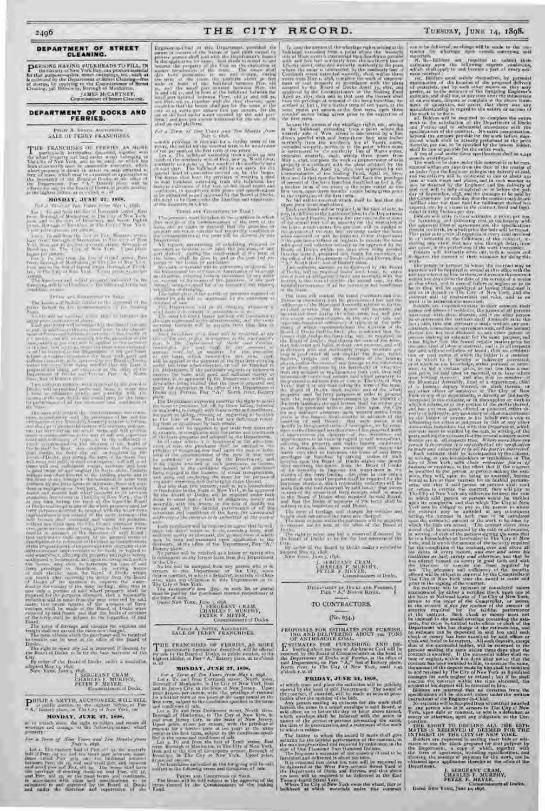#### DEPARTMENT OF STREET CLEANING.

PERSONS HAVING BULKHEADS TO FILL, IN In the causily of New York Bay, can procure meterial<br>for that goreon-moles, effect increasing a situation of the calculation of<br>the calculation of the Department of Street Clemeng-dree<br>of change, by applying to the Clement JAMES McCARTNEY,

Commissioner of Street Cleaning.

DEPARTMENT OF DOCKS AND FERRIES.

## PHILT A. SAYER AUTHORITY.<br>SALE OF FERRY FRANCHISES.

THE FRANCHINES OF PTREIS, AS AOBT (  $\sim$  2007) and an electronically dependent of the start of the start of the start of the start of the start of the start of the start of the start of the start of the start of the start

#### MONDAY, JUNE 27, 1808.

For a Y,, , ,' ,•f Ten liars Irani .1!at I. IF)S. Lot I. To and tr in the foot of Roosevelt =fret, East river, li, tough '•f Manhattan, in Tho City of New York. Irons and to the foot of Iin,ailw.iy and 'rnnh Eighth Street, B.rougl of Br,'oklcu, in the City .f scw \ork. L• pet price, gzo,000 per anuuut. l.,-t 2. 'lb and from the t''ot of F.+si Houston s:rcet. Fast ii Cr, IPor, ugh of 1t:mhattan. in l'be lit "d New Y, rk. trot;; and to the loot of l%rand street, Forou,h of tiro oklyn, in The City of New York. Upset price. :9,500 per annum. I.ot 3. 7u and front the foot of Grand strict, East river, Borough of 1Lnhatlan, in (he City of Ns • iv \oak, horn and to the foot of Grand stn\_et. Ilorou\_h of Brook lye, in The City of New York. k Psat price, 95.cou per annum.

The frame search what property embodied in the foreground subject to the following terms and the following terms and the following terms and the following terms and the following terms and the following terms and the follo

1. Finale. And Contempt of the solid of the approximate the approximate the approximate the approximate the approximate the approximate the context of the approximate the approximate the context of the context of the conte

Fund. \,, bid will be received %% Lich shad be less than the upset price as m•. utio ,ed above. Each porch.,ser aaill be required :u the time of the salt tel pay. in add tion to the tic; (leers ter. n. the Dep.trt. meat of lto.ks and Ferries, \_; percent. c f the .tutouat of the snrual rent bid. a= sscuruy for the execution tit the lease, which cc Ptr cent. se;P be applied to the pav;tcnt of the rent first accru.nc under the le.tte when executed, or wail be forfeit'-d to the Department if the porch+ser refuses or neglects to execute the le.,se with good and sufficient src¢rity. to Sc a purua ed ley th.. IF: and of Dock;, within ten c'a ys after being mrtitic•d that the lease is prepared and ready for cxecuti,•n at the office of the Department of Docks and Ferries, Pier " a," Nor;h river, foot of B.ttter%. place. Two sufficient sureties, to be appr'ved by the Board of

Docks. will be required under each lease, to enter into a bond or obligation jointly amI s,verally with the lessees in the sum d~,utdc the annual rent, for the faith-ful performance +d all the covenants and conditions of the lease.

The state of the state of the state of the state of the state of the state of the state of the state of the state of the state of the state of the state of the state of the state of the state of the state of the state of

The form of lease which the purchaser will be required to execute can be seen at the office of the Board of Docks.

The right to reject an the right of the Deard of<br>The right to right any bid is reserved if deemed by<br>the Ranci of Deard in he for the base has reject the the Board of Docks to be for the best interests of the<br>City.<br>By order of the Board of Docks, under a resolution<br>adopted May r<sub>3</sub>, 1898.

J. SERGEANT CRAM, CHARLES F. MURPHY, PETER F. -MEYER, Commissioner, of Docks.

P HILIP A. SMYTH, AUCTIONEER, WILL SELL it public auction, to the highest bidder, at Pier A," Battery lice, in The City of New York, on

#### MONDAY, JUNE 27, 1S95,

at in o'clock noon, the right to collect and retain all wharfage and crutage at the following-named wharf property :

 $\ell$  or a Terra of Near Your and Terra distributed from Letter that the matter part of the state of the state of the state of the state of the state of the state of the state of the state of the state of the state of the

 $\frac{1}{2}$  and the results of the renewal term of the renewal term of the vector of the renewal term of the vector of the renewal term of the vector of the renewal term of the renewal term of the renewal term of the renewa

pens of the lesse or purchaser. • A," North ricer, toot of Battery place. work. \*\* North ricer, to be approved by the Itoard | The Architects

the Department for any less or deprivation of wharfage

The upset price of the parcel. or pre noses exposed or The month of the south of the second continues of the south of the second continues of the second will be received in the second of the second of the second of the second of the second of the second of the second of the se

ith, its provinces will do out chains attain

*light in a contrast to the contrast* annual r, ril by the security- for the execution of the painting and the execution of the payment of the payment of the rent first of the payment of the rent first of the payment of the rent first of the payment of the ren

head at the comnrenccment of the terns or that may to permitted or testimate by the Breatting

legaliser respective and distinguing cargo through<br>Nut less stan two superior, on a prove distinguished in the State of Approved in the spectrum annually, sub the tensor, in the sour of coulde the source of all the

THE FRANCIISES OF FIREDES, AS MORE for the time of the Board of the Board of the state of the state of the board of the highest bilifer, at Far "A," Eattery piece, at to shows the distribution of the state of the state of

**NONDAY, JUNE 27, 1898.**<br>
North river, in The City of New York, until 1.43 the amount of the deposit made by him shall be turned by the<br>
Let  $x$  a Terms of Tree of Tree Let  $f$  as the City of New York, The BIDAY, JUNE 24, Borough of Manhattan, in The City of New York, from at which time and place the estimates will be publicly

97,000 per oth im.<br>The franchises embodied in the foregoing will be sold

**2496 THE STREET (DEFINITE STREET (DEFINITE SECURE TRANSPORTATION CONTINUES)**<br> **DEPARTMENT OF STREET** (DEFINITE SECURE TRANSPORTATION CONTINUES) (DEFINITE SECURE TRANSPORTATION CONTINUES) (DEFINITE SECURE TRANSPORTATION C Engines and at all Drawingst, provided the Income theoretical diveloping radio pines in an interdepend, as shown will be made to the con-<br>person person for have at add pure contract intent when the a point when the wealth dro have permission to use and strengt, strengt Curtlandt street extended wasterly, shall within three mate received use of the land under water covered by the said phut- months' notice being given prior to the expiration of the work to be clone.

*For a Tire of Ting Viset and Tin Months Assessment all the bulkhead extending topics the a point where the +* drawn parallel with and lorry-three feet nine inchestit tell per cent. oil the first term of ten years. is intersected by the southerly line of Watts street, shall be due or payable for the entire work. Lot x. The bulkhead extending from a paint of the extended westerly, shall, within three years from  $\Lambda$  from at coal under these specifications shall be 2,240 and the method of the set of New Apple to the set of the set of the set of the set of the set of the set of the set of the set of the set of the set of the set of the set of the set of the set of the set of the set of the

Terms Ave Comparing in Stat :  $\frac{1}{2}$  ( $\frac{1}{2}$  and mechanic fees to the anchore of at the time of site to  $\frac{1}{2}$  detected  $\frac{1}{2}$  regions in the  $\frac{1}{2}$  region of  $\frac{1}{2}$  regions of the anchore of  $\frac{1}{2}$  r the lease, shift be does by and at the cast and ex- the office of the Department of India and Poeses, the UR figures, the common of their estimate for doing this

The Departures will do Britanian attacked the trill do Bred tried Assembly attack to their interests to their estimate their estimate their P 'd >h: If lox fie that the It see, will maintain :mil nantcs :mil }dace, of reaidcnic, the names oC all persons The tertu for which leases are said wdl counnence:+t operate the Ierr}' duri-tt the whol term, and wII Pro- it+rc rested avith them thereiu,t and it no other person tied ate mentioned in the advertisement, and the rents vide ample accuuunn, lotion s tit the arcs of s.,fe and be so interested the estimate s.u+ll distinct) 1' state the ao\_ruing therefor avill be payable no [hat date in cap:tetou; boats and ~ufllcienc}• of trips, as to the ~utii- fact ; ❑ Isu, that the estimate is made without an con- )' each case. +'iene} of which accomnrod.,tion. iii i' decision of the sttltd,on, ciinnectiun or agreement with, and the amount thereof ha. not been disclosed to, any ti<sup>n</sup> ter person P or S <sup>u</sup> <sup>i</sup>r S lei=ees shall dred4e the ferry s tp, etc., a~ required I P' - cr.ou. m.,king an estitaate for file same k ur use and firer ,!t tit c safe, f.rr, in additrnn to II ,r red e-r s I ws, to flee I>i"a rt "tot tit rj ./) ii and !ev-ri, r, the L'uarJ of Lb I. that durn,g file tenu of the Ic:+k, is nut hi h~•r than file lowest re;;ular market rice for >; P goer, t)-/-:'e Ji: r cord. (25%) of the ,reran tit of they alit erect at their own expense, and as d the sand kind of labor io (or fial, and is in o respects Got, the charge of a feast will be results at the . Board of Darks that I charge the conditions that the the it d u <sup>s</sup> all times •soil and z fly rep:th m:ut t ua and j fair and without c IIusiuu or fraud ; that nu c~~mbina-ke giisid rid i fenders d ederaud oil ertt fistureslt uf land s, under the lease when executed, or will be forfeited to pl caa, andi tt the event of any damage to the hull licids "r of avI t lie bar, kuowlydye, either P' cranial or other-the Department if the purchaser neglects or refuses to °r piers front collision by the fe rrcboats or +, ti w tie at to bid a certain price, or not less than a cerready for execution at the office of the Department of I orker that it any time during the term of the local i<br>I have not force, Far "A," North purp, Datter - property and the ferry purposes in order to proceed or neglesting to comply with these terms and conditions, vacate the premises w nh"ut any claim upon the City and has not been given, offered or promiserl, either dithe carry of the City of the City of City of the Library and the lessees three months to which of the control of the  $\alpha$  is the point of the property of the property of the property of the property of the property of the property of the property of the property of the property of the property of the property of the property of the prop privile and the pier of our privile prior privilege in the pier of our bulk-p to be reduced to be explicit the pier or bulk-p to be  $\frac{1}{2}$  and the pier of the pier of the best and the pier of the pier of the pier of th The first state of the continue of the basic of the basic in the continue of the basic part of the basic part of the basic part of the basic part of the basic part of the basic part of the continue of the continue of the and the set of the set of the set of the set of the board of the Board of Docks within any country of the set of the condition of the set of the set of the set of the set of the set of the set of the set of the set of the purposes, at a main then a reduction reduction will be required each return of the amounts of ferry receipts shall be made lease to enter into a bond or obligation, partly and books obligated the enterprised by and Books, in which said person or persons would be entitled

and from Jersey City, in the State of New Jersey. names of the series or persons presenting the same, Poration. Upod price, then per choins, with the privating of the presentation, and a statement of the ward Table Rither Rither TO DECLINE ALL THE ESTI-<br>France of the fact of the state of the state in which it relates. MATES IS RESER

because the property of the Corner the exploition or. United the corner of orders and reduced to the pool, extinctive support the millensing experts constrainty of the second control of the second control of the second con

and the local distribution about as five performance of the complex the surface of the best of the local distribution of the state of the state of the best of the state of the state of the state of the state of the state o

 $\lambda \sigma$  and the property of the matrice of the first term.<br>
The first term in case the weak at the width results with the selection of the Department of Decks<br>  $\lambda \sigma$  a True of The Link (and True Months Assembly the latter with province at rectional for a turbul term of the distribution of the control of the server terms. Consideration and he can be a server of the server of the server of the control of the control of the control of the cont

The figure that have the previous of creating a show is the computation of the bear had fact principal and the delivery will be continued in this of about run<br>In red ballborot extraction the ballborot line of energy of the of the interval of a contract the position of the first term in the contract of the contract of the set of the set of the set of the set of the set of the set of the set of the set of the set of the set of the set of the s artin Linuxus in Carol in Case of the Contract of the Contract of the line of site, to the Contract of the Contract of the Contract of the Contract of the Contract of the Contract of the Contract of the Contract of the Con

The process would be taken to be contained in which in the lead for the contribution of the second in the second second and delivering with the second intervention of the term of the second between the second intervention property are not in suitable and tenantable condition at I the pus minim ii [he rent firs: accruing under the lease therein set forth, by which price the bids will be tested. the rununencemeuz of the term will be alluaaed by this when enecntsd, "r will Le luriciled to the Dep.0 anent T1'his price is to cover all expenses of every kind involved Devartmeut. in 1W inetJental Iii the fulfillment of the contract, m- if the pureh:uer refuses or neglect, to execute the lease All ciudi mg any clainr that may arise through delay, front repairs, maintaining or rebuilding required or with t\_und and uthcient security to be: i pprov, **it** by the ncacssary to be dune to or upon the premises, air any °to5 cause, in the perturunng of the work thereunder, Board of Docks, within ten days alter I is ing iii iii lied part thereof, Curing the continuance of the term of that the Ic-.tsc• i. prepared aml ready for execution, at IAd,lers will distinctly write c,ut, both in words and

The mass of the contract of the contract of the contract of the contract of the contract of the contract of the contract of the contract of the contract of the contract of the contract of the contract of the contract of t

and of the budder the budder the budder is a member is a member of which is distributed in a member of the budder of which is a member of the contract of the budder of the budder of the budder of the budder of the budder o For the base of good and outcomes are the one of the contract of the contract of the contract of the contract of the contract of the contract of the contract of the contract of the contract of the contract of the contract The first particle is the contract of the contract of the contract of the contract of the contract of the contract of the contract of the contract of the contract of the contract of the contract of the contract of the con

annc r, with lessee, in the sum of double the subject to the of said upuP on its cotu letion and that which P 'kite City of New <sup>Y</sup> for inspection Board, York ma y be obliged to pay to the p y person to whom covenants and conditions of the lease, the .iarnes and he rate, of ferriage and charges for vehicles and the contract may be awarded at any subsequent aafdressts'ft/mne sureties to be suburitted at the tulle of fn-ight shall not exceed the rates slow charged, : letting, the amount in each case to be calculated *sale.* - The form of lease which the purt:haver will the require,l j upon the estimate.l amount of the work to be done by Each purchaser will be required to agree that he will, , io execute can be seen at the office of the Board of which the bids are tested. The consent above men-upon ten days' notice so to do, execute a lease, with Docks, tinted shall he accompanied by the oath or affirmation, sufficient surety as aforesaid, the printed form of w Bich I The right to reject any bid is reserved if deemed by in writing, of each of the persons. signing tjte same that may be seen and examined upon application to the i the Board of Ducks to be for the best interests of the he is a householder or freeholder in The City of New Secretary, at the office of the Department, Pier "A," j City. York, and is worth the amount of the security required Battery place. I Ly order of the Iloard of Docks under a resolution for the completion of the contract, over and above all No person will he received as a lessee or surety who , ad - pled May t3, r8-)8. his debts of every nature, and cover and above his is delinquent on any former lease from this Department N r w Yeu<t;, June 3, t£y4. *liabilities* as *bail, surety and otheravise,* and that he or the City. J. '"1•. RGF.AN1' CRAM, has offered himself as surety in good faith and with No bid will be accepted from any person who is in CHARi.ES F. MURP'HY, the intention to execute the bond required by arrears to this Department or the City, upon PE'1'l'.R F. MEVI'.H, law. The adequacy and sufficiency of the security debtor contract, or who is a defaulter, as surety or Other. Commissioners of Docks. offered will be subject to approval by the Comptroller at wise, upon any obligation to this Department or to 'lime City of New York alter the award is made and

The interference of the Equipment of the Equipment of the second of the second in the control of the Second Control of the Second of the Second and the Second and the Second and the Second and the Second and the Second an

For a late of the conditions and the person in the conditions and the conditions of our conditions of the conditions of the conditions of the conditions of the conditions of the conditions of the conditions of the conditi showing the manner of payment for the work, can be obtained upon application therefor at the office of the

The Contract of Section of New York. Prior to the Contract of the contract of the contract of the contract. Prior to the contract of the contract of the contract of the contract of the contract of the contract of the cont

PROFISMIS FOR ESTIMATES FOR FURNISHER TOR AND DELIVERING OF ANTIFACTLE COAL. THE COALLER COALLER STATE AND DELAY OF AN INTERFERENCE COAL. The contraction of Deck and Deriver, at the office of the Department, on the other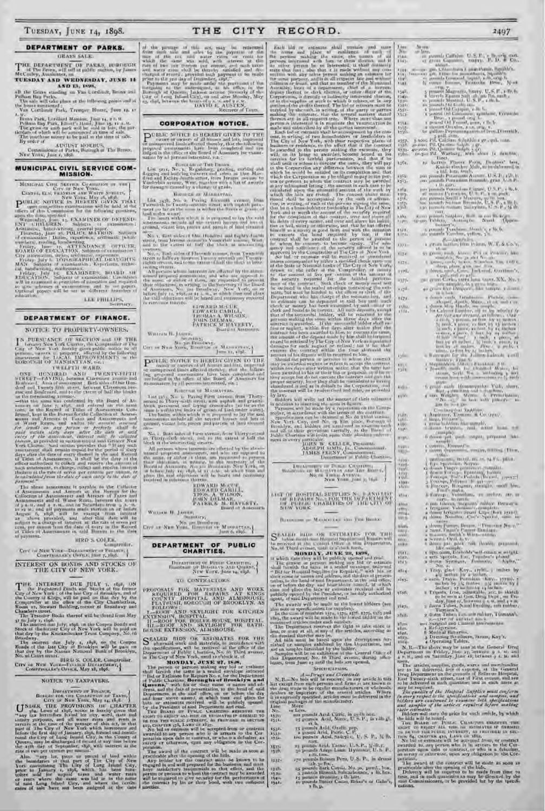## DEPARTMENT OF PARKS.

GRASS SALE:

THE DEPARTMENT OF PARSS, BURDLEDGE of The Press, will sell at public mation, by James McCauley, Australians, an TUESDAY AND WEDNESDAY, JUNE 14

## AND 13, 1898,

all the Grees smading on Van CortLord, Broas and Pelham Bay Porks.<br>The sale will take place at the following paints and at the bours mentioned: . Tremper Hease, June 14, 17

We have Park, Lardbard Marsino, June 14, 19, 11<br>
Heliona Bay Park, Elliant's Hond, June 14, 19, 69.<br>
Polema Bay Park, Elliant's Hond, June 13, 11 A. M.<br>
The grass on anch park will be submorped at time of safe.<br>
The parti

By article of  $\bigwedge_{A \cup \{1\} \in \mathcal{X}} \bigvee_{A \cup \{1\} \in \mathcal{X}} \bigvee_{A \cup \{1\} \in \mathcal{X}} \bigvee_{A \cup \{1\} \in \mathcal{X}} \bigvee_{A \cup \{1\} \in \mathcal{X}} \bigvee_{A \cup \{1\} \in \mathcal{X}} \bigvee_{A \cup \{1\} \in \mathcal{X}} \bigvee_{A \cup \{1\} \in \mathcal{X}} \bigvee_{A \cup \{1\} \in \mathcal{X}} \bigvee_{A \cup \{1\} \in \math$ 

# MUNICIPAL CIVIL SERVICE COM-<br>MISSION.

MERICAN CONTRACTION (METHOD IN A THE PARTICULAR PROPERTY OF A SECTION AND THE STATE OF THE CONTRACT OF THE CONTRACT OF THE CONTRACT OF THE CONTRACT OF THE CONTRACT OF THE CONTRACT OF THE CONTRACT OF THE CONTRACT OF THE CO NOARD OF EDUCATION, Salgests of examination : Captures, and<br>many differential integration and properties of examination : As<br>performs, the Fig. (2)  $\sim$  100  $\sim$  2)<br>and integration . As<br>performs , we<br>have a higher state o

 $\mbox{LEK PHILLES},$  Service.

#### DEPARTMENT OF FINANCE.

#### NOTICE TO PROPERTY-OWNERS.

ESERVATAR OF TANKLETH WARD,<br>
ONE HENDRED AND TWENTY-FIFTH STRESS.<br>
THE TRIP IS THE TWENTY-FIFTH STRESS (Schematic AND TWENTY-FIFTH STREET I-AVISS), between the<br>angle of the Home of the Home of the Home of the Home and Hom

phases of the association of Artests in papels<br>is to the Uniform of Artests and Artests at the Barcon for the Collection<br>of Associations and Artests at the Barcon for the Collection<br>of Association and of Water Stati, betw ол раунице.

**HED S COLER.** supredir.

 $\begin{minipage}{.4\linewidth} \textbf{Crr}^{\text{c}} \hspace{0.2cm} \textbf{or} \hspace{0.2cm} \textbf{New York-Delectric} \hspace{0.2cm} \textbf{or} \hspace{0.2cm} \textbf{Fusion} \hspace{0.2cm} \textbf{v} \\ \textbf{Compricance} \hspace{0.2cm} \textbf{Cospricance} \hspace{0.2cm} \textbf{c} \hspace{0.2cm} \textbf{t} \hspace{0.2cm} \textbf{or} \hspace{0.2cm} \textbf{v} \\ \textbf{u} \hspace{0.2cm} \textbf{or} \hspace{$ INTEREST ON BONDS AND STOCKS OF THE CITY OF NEW YORK.

THE INTEREST DUE JULY 1, 1892, ON Cury of New York 1 of the lines of the layer of New York 1 of the late Stocks of the four firement the Country of Europe, will be paid on that day by the Country of Europe, will be paid o

Broodway.<br>
The material size July 3, 1898, on the Compon<br>
Honds of the late City of Brooklyn will be pain on<br>
that day by the Nassan National Bank of Brooklyn,<br>
No. as Court Strate.<br>
HRU-S. COLER, Comptroller.<br>
Cirv on New

City of New York-Franco Bergers

#### NOTICE TO TAXPAYERS

DEVANTMENT OF THE ANDER THE CONDUCT OF THE PROVISIONS (SEE CHAPTER CONDUCT) and the set of right, notice is foreign to the set of the same of the same of the matrix of the same of the same of the same of the same of the s

rate at two per centual per any unit particle of land within<br>the boundaries of that part of The City of New<br>York constituting This Line part of The City of New<br>York constituting This Line profile and cary<br>profile and for e

 $\beta$  the particle of this set, may be retiremed from such and sets by the payment of the mass of the case was sold with the<br>result for the mass of the case of the case and wider rates on result for<br>which the case was and

THE

CITY

RECORD.

**CORPORATION NOTICE.** 

 $\begin{array}{cccc} \text{Dirac} & \text{Dirac} & \text{Dirac} \\ \text{List: grx, No. x, Regaloting, grabine, rortae and the gauge and bundleing cutive is an in the Homder of other and then the other and the other-ferm. A non-fermence, a sequence for dataing, a value of a wavelet.\\ \end{array}$ 

Полоная от Макилттан.

Howards on Massiarrass, avaining form<br>Twendish to Twenty seconds (form Twendish to Twenty seconds the<br>Twendish to Twenty seconds thesel, with separate pairs of<br>fact under want,<br>In limits within which it is proposed to lay

an —<br> No. 1. Rist sides of the flundved and taghty faurit<br> sires, from Jerome avenue to Yungi that assume, West<br>and 10 the extent of full the block at interesting

and in the catent of fully the black at minimality as a summer of  $N(t, \sigma_1)$  land sides of Flavorida various, from Twaminity stress to individually invorse it is<br>and in the caten of the caten of the state of the state of

# **FDWARD MAILE,<br>FOWARD CABILL,<br>JOURN DELMAR,<br>JOURN DELMAR,<br>FATRICK M. HAYFRIY,<br>Board of Assession**,

WHITAM H. JAPON,  $\begin{array}{l} \text{Minimize} \\ \text{for } \text{in} \text{ and } \text{in} \text{ and } \text{in} \text{ and } \text{in} \text{ and } \text{in} \text{ and } \text{in} \text{ and } \text{in} \text{ and } \text{in} \text{ and } \text{in} \text{ and } \text{in} \text{ and } \text{in} \text{ and } \text{in} \text{ and } \text{in} \text{ and } \text{in} \text{ and } \text{in} \text{ and } \text{in} \text{ and } \text{in} \text{ and } \text{in} \text{ and } \text{in$ WILLIAM H. JASTER

 $\begin{array}{l} \mathbf{P}^{\text{CHT,IC}} \xspace \xrightarrow{\text{N} \text{CFT,ICK}} \text{Is } \text{H} \xspace \xrightarrow{\text{N} \text{CFT,ICK}} \text{G} \text{WEN} \xspace \xrightarrow{\text{C} \text{CFT,ICK}} \text{G} \text{CFT} \xrightarrow{\text{C} \text{CFT,ICK}} \text{G} \text{CFT} \xrightarrow{\text{C} \text{CFT,ICK}} \text{G} \text{CFT} \xrightarrow{\text{C} \text{CFT,ICK}} \text{G} \text{CFT} \xrightarrow{\text{C} \text{CFT,ICK}} \text{G}$ 

#### ROBOTOH OF MANHAUPAS.

That ages, No is a constant of MANDAVIAS.<br>The age of the second in Thirty-second in Thirty-second in Thirty-second in Thirty-second in Thirty-second in the prime of the angle in the prime of the angle of grain of the angle

 $\mathcal{M}_{0i}$  . But<br>it aides at the average from Thirty sectors to Thirty sector the street, and to the catent of bolt the<br>lines at the valence ting experts.

large at the understang stracts. As allocated by the above-<br>samed- proposed assumed a second to the disc of the straight proposed as<br> $\Omega_{\rm{max}}$  or allocated as the origin of the straight<br> $\Omega_{\rm{max}}$  and  $\Omega_{\rm{max}}$  and  $\Omega_{$ 

# **EDWARD MOURE,<br>EDWARD CARRILL,<br>THOS A WILSON,<br>FATRICK M. HAVERTY,<br>PATRICK M. HAVERTY,**

Workers H. James, Suppliers,

# DEPARTMENT OF PUBLIC<br>CHARITIES.

 $\begin{array}{l} \text{Diverments of Project Carmitian,} \\ \text{Bissotians in Buchutary and Quants,} \\ \text{New Vare, June 34, 338} \end{array}$ 

## TO CONTRACTORS.

 $\begin{tabular}{l|c|c|c|c|c} \hline \textbf{FROPOSALS} & \textbf{FOL} & \textbf{MATICIAS} & \textbf{ASP} & \textbf{WORK} \\ \hline \textbf{RFOUIRED} & \textbf{FOR} & \textbf{REPAIRS} & \textbf{AT} & \textbf{KINGS} \\ \hline \textbf{CUVNTY} & \textbf{BOSPTAL} & \textbf{AND} & \textbf{ALMSHOUSE} \\ \hline \textbf{FLAPHISI}, & \textbf{SOEOU(III)} & \textbf{OP} & \textbf{BROOKLYN}, & \textbf{AS} \\ \hline \textbf{FALIONWS}, & \textbf$ 

 $S_{\text{1}}^{\text{FALEB}}$  filos OR LSTIMATES FOR THE alternational work and materials, to merodonic with Department at the received at the different conduction, with be received at the different of the property of New York, and t

# MONDAY, JUNE 27, 1808,

in The City of New York, and to obtain a of the Strait<br>Moon in the proton or persons making any ball are estimate<br>that I increase in a small of environment to the proton or persons making any ball are estimate<br>the life an

植画  $\begin{array}{c} 23.88 \\ 15.65 \\ 15.65 \\ \end{array}$ 

**FE ECO FRD.**<br>
Taxas indicates at all sensitive and a very different the persons was<br>kight the sensitive and a sensitive and a sensitive and a sensitive and the sensitive and the sensitive and the sensitive and interest i  $\frac{1544}{1147}$  $\frac{1566}{1566}$ 塔尔  $1509$  $\frac{1375}{3776}$ 

the contrast will be ready<br>cross and rolet, a process in the contrast by law. In addition to inserting the same in<br>fraction in addition to inserting the same in fraction of Lorentz<br>Theory will be made by a requisition on

ment is every particular.<br>JOHN W. ELLER, Pressurate

|  |                 | The company of the company property and the company company of<br>JAMES FEENY, Commissioner, |  |
|--|-----------------|----------------------------------------------------------------------------------------------|--|
|  | Listen Chemistr | Fulme Unontias                                                                               |  |

 $\begin{tabular}{ll} \hline $1\leq i,k\leq 1$ & $1\leq i\leq 2$ & $1\leq i\leq 1$ \\ \hline $\alpha=11$ & $1\leq i\leq 2$ & $1\leq i\leq 2$ & $1\leq i\leq 2$ \\ $\mathsf{N}\mathsf{Q}_i\cap\mathsf{Q}_i$ & $1\leq i\leq 2$ & $1\leq i\leq 2$ \\ $\mathsf{N}\mathsf{P}_i\cap\mathsf{Q}_i$ & $1\leq i\leq 2$ & $1\leq i\leq 2$ \\ $\mathsf{N}\mathsf{P}_i\cap\mathsf{Q}_i\$ Hoten

LIGT OF HOSPITAL SUPPLIES  $N_{\rm L}$  . AND LIGT OF REPAIRS  $N_{\rm L}$  . FOR THE DIFFERENT OF THE CITY OF HUE OTHER DEVICES OF THE CITY OF  $u(u)$ plice h i

## BULGARIAN DE MARICO CAS AND THIS BROKE

**Time** coro

No. of Third overale, mill is able to the film.<br>In the set of the set of the Section function of the public speed and contained the public speed and contained the pursuant of the column of the column of the column of the

agent, of and Department and read.<br>
The average will be made to the showest birders (see also note or specification for supplies).<br>
In the case of monters in the supplies), In the case of montens in the supplies), i.e. a<br>  $1517.$ sår8.

### *<u>Seremetamers</u>*

 $\label{eq:1} A = Drawy \; and \; Dwaxiabda,$   $A = Drawy \; and \; Dwaxiabda,$  It is except from only persons and firms are known in<br>this disc persons and firms are known in the drug initial to received on any arts known in<br>the drug initial to be regula original package<br>Line More<br>No. or form

or Less. rest pounds And, Citric, in as the how-<br>25 pounds Acid, Name, U.S.P., in rith g),<br>35 pounds Acid, Name, U.S.P., in rith g),

ra pomoh Anid, Oxalin pap,<br>'s pound Acid, Pierie, C. P.<br>toe pounds Acid, Sadeyle, U. S. P., 32 lb.

 $4584.$ 

 $1619.$  $153 +$ 

精神

 $1037 -$ 

 $\begin{array}{l} \mbox{with}\\ \mbox{if } \mbox{pounds And, Tameer, U-5}, \mbox{Fe, V-5}, \mbox{Fe, P},\\ \mbox{if } \mbox{pounds Andp, Lane, Hymam, U-5}, \mbox{P}, \end{array}$ 

22 Pennas Antara Perra, U.S. P., in drame<br> $r20$  pennas kisam Perra, U.S. P., in drame<br>as pennas link Consist, No. pc. pennal, box,<br> $\frac{1}{2}$  pennas linearch information<br>as a pennas divisorial fully and the pennas link of  $\mathbf{H}$  ,  $\mathbf{D}$ 

2497

- in jaronda Caffidon, U.S.P., a Baseria care, exan and the term is a substitute of the contract of the contract of the contract of the contract of the contract of the contract of the contract of the contract of the contract of the contract of the contract of the contrac
- 
- 

1547.

**FILE** 

微

 $\frac{1557}{1358}$ <br> $\frac{1358}{150}$ 

 $1.56x$ 

polip.

rang.<br>Kilim

ins.

 $874$ **KITAL**  $\mathbf{1}$  year.  $\mathbb{E}[\mathbf{X}]$  .  $x + 7\%$ 

1579

 $1580,$ <br> $158x$ 

ستردر

M.

**Kidro** 

ry Vi

 $\begin{array}{l} 11.817 \\ 1.88 \\ 1.980 \\ 1.980 \\ 1.987 \end{array}$ 

**THAT** 

 $\frac{1}{\frac{1}{2}}\frac{\left(\frac{1}{2}x\right)^2}{\left(\frac{1}{2}x\right)^2}$ 

a yan.<br>Afirma

un<br>und

run. **HAR** 

dfire.

airs.

1616.

 $1001$ 

rtia i **KOR4** 

cations.

- -
- is gallon-Peptermutating filters.<br>Directib. <br>
5 toss Pik Cal form if dishide rate, well, was a<br>
gardon Pik Cal from it dishide rate, well, was a<br>
gardon Pik Quanting filters (i.e. distribute)<br>
progress Pik Quanting filter
- $\frac{1}{2}$ x khu.
- $\begin{tabular}{l|c|c|c|c|c|c|c|c} \hline $x$-norm & $x$-norm & $x$-norm & $x$-norm & $x$-norm & $x$-norm & $x$-norm & $x$-norm & $x$-norm & $x$-norm & $x$-norm & $x$-norm & $x$-norm & $x$-norm & $x$-norm & $x$-norm & $x$-norm & $x$-norm & $x$-norm & $x$-norm & $x$-norm & $x$-norm & $x$-norm & $x$-norm & $x$-norm & $x$-norm & $x$-norm & $x$-norm & $x$-norm & $x$-norm & $x$-norm & $x$-norm & $$ Y Liping
	- -
	-

Refrigerance.<br>Medical Hatternise.

a Dressing Scratiners, Jacon, Kay's,<br>4 Operating Taldes.

N. B.—The above may be assay the General Drug<br>Department on Friday, Jam 17, letworks  $g \approx 0.36$  and<br> $\pm 2.36$  and on Saturday, Jame  $\pm 8$ , between  $g \approx 1.36$  and

noun,<br>The articles, supplies, groots, warts and morthandise<br>are to be delivered, from of sapense, at the General<br>Drig Department on the grounds of Bellerus Hospital,<br>East Twenty-sixth street, case of First system, and been

in the delivered in such quantities and at each inner as may be required. The quartity of the Massical Supplies must conferent and the design red in the special conditions in the special conditions and complete and comple

peration, provided at the contract will be cate as soon as practicable sites the symmetric of the bids, Delevery will be required to be conde from time to true, and in such quantities as may be directed by the said Commiss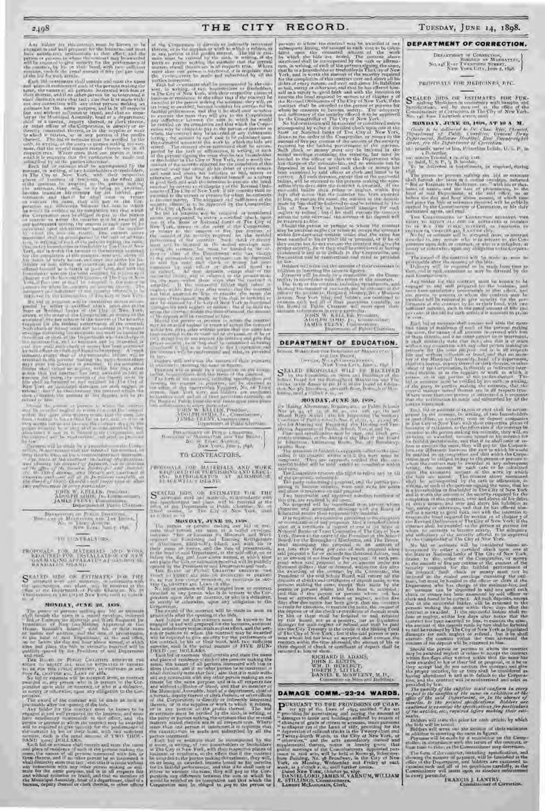Any behind the matrix for the constraints in the linear by the particle in the same of the barants and the particle process of the same of the same of the same of the same of the same of the same of the same of the same o

No bid or estimate will be considered unless accom-panied by either a certified check upon one of the State or National banks of the City of New 1- arc, drawn to the order of the Comptroller, or money to the amount olfcse per centuvt of the amount of the security required for the faithful performance of the contract. SiICh check or money must **NOT** be inclosed in the sealed envelope containing the estimate, but must be handed to the officer or clerk of the Department who has charge of the estimate-box, and no estimate can lie deposited in said box until such check or money has been examined by said officer or clerk and found to be correct. All such deposits, except that of the successful bidder, will be returned to the persons making the same within three days after the contract is awarded. If the successful bidder shall refuse or neglect, within five days after notice that the contract has been awarded to him, to execute the same, the amount of the deposit made by him shall be forfeited to and retained by The City of New York as liquidated damages for such neglect or refusal : but it lie shall execute the contract within the time aforesaid, the amount of his deposit will be re-turned to him. Should the person or per<om to whom the contr,,ct

etc be awarded neglect or r-iu,e to sect-pt the contract w'; thin lire days after writt,-n notice that the same has been awarded to his or their bid or pro, oral, or it he or they accept but do not execute the contract ani give the proper security, he or they shall he considered as n vine\_ abandoned it and as in default to the C~~rporation, an,l the contract will be readvertised and relet, as provl.,ed bc law.

Payment will be made by a requisition on the Comp-troller. in accordance with the terms of the contract. or from time to time, as the Commissioners may determine. lime form of the contract, inclmrting sftc%t, a!reus, *and shteeing the nnanncr of paywrcnt, it,, Ge olta inert rzt the office of the Geuerai Bookke-J'a'r anti : lu,lrfor,*  V"o. 66 third avenrt', and bidaers air ca rtti"tr,d to c'xanrirre each anti all of its t, v':sions care/till)', as time Board of i"ablic CIlaretM.'s :v5/1 insist 1tfO)t it, a/so-lute eofsnneo+ext in ee ,\_r particular. JOHN \V. KELLER, President, AD( ILPH slit IS, JR., Commissioner, JAMES FEh:N1, Commissioner, Department of 1'u'blic Chanties,

December Of Ptys Discounts, and The Brook, and The Brook, and The Brook, and The Brook, and The Brook, and The

## TO CC'ENCETIES.

PROPOSALS FOR MATERIALS AND AVIOLATION AT A 1990 AND ALSO ALSO ALL GAS-HOLSE, ISLAND, ISLAND, ISLAND, ISLAND, I<br>J. RANDALLIS ALANDALLIS ALL GAS-HOLSE, ISLAND, ISLAND, ISLAND, ISLAND, ISLAND, ISLAND, ISLAND, ISLAND, ISLAND,

S E.11.ED BIDS OR E51'1MATEO FOR THE aforesaid work and materials, in accordance with the .pea l hcntions and plans, will be recuieed at the rtiice of the Department of Public Charities, No. 66 'Third .eerie, in I he City of New York, until IC o'clock t. of

#### MONDAY, JUNE 20, 1898,

The arm of the state of the state of the state of the state of the state of the state of the state of the state of the state of the state of the state of the state of the state of the state of the state of the state of the

The Handle Person Concerns consider the following consideration of the set of the set of the set of the set of the set of the set of the set of the set of the set of the set of the set of the set of the set of the set of

The absorbed of the continued with the model as focus are a functional to the specific in the specific state of the later particle in the specific state of the specific state of the specific state of the specific state in

at the Companion in the state of the control of the billion of the state of the control of the state of the control of the state of the state of the state of the state of the state of the state of the state of the state o

troller, in accordance with the term, of the contract. '1 lie f rm of the contract, including specific. tion> and showing, the manner of payment, can be obtained at the ofllce of the Supervising Engineer, No. 66 'Third avenue, New Y,-rk City. and bidders are cautioned to examine etch and all of their proclsions carefully, as the B.-yard of Public Charities Will insist upon their abso. Rime enforcement in every particular.

JURN W. RULLER, President, .<br>Anni Pit SPALS, Jr., Commissioner, .<br>JAMES | REMARCIO of I'ubhc Charolin. I)ri Alan Ayetti Little (multipure 7, 1998)<br>2007 - Alan Ayetting, amerikan 400 Tull/mu Awettan 400 Tull/mu Awettan 41

# TO CONTRACTORS.

PRIFILM IN TOP MATERIALS AND WORK REQUIRED TO A STRIKE AND AND RECTION OF THE RECONOLIST OF THE RECONOLIST OF THE RECONOLIST OF THE RECONOLIST OF THE RECONOLIST OF THE RECONOLIST OF THE RECONOLIST OF THE RECONOLIST OF THE

 $S^{\text{LALID}}$  time and satisfiest 100, THE and with an anti-algebra in the resultation of the second at the second in the second at the second at the second at the second at the second of the second of the second of the sec

10. **MOVIDAY, JUME 20.** 1988.<br>
The main of a stationary in the stationary of the stationary of the stationary in the stationary of the stationary in the stationary of the stationary in the stationary of the stationary of

timate be the same particle and it in all respects four that the Mountain of the Mountain of the same particle in the continue of the Control of the Control of the Control of the Control of the Control of the Control of t

parsons in whom the reaction in the avariable is a symbol of the particle in the state spectra density which the main counter of the work of the state is the state of the state of the state of the state of the state of th

troller, in accordance with the terns of the contract. 1 he form of the contr.tct, including specifiations, and sh aging the Stan ner of pay'tuent, can be obtaine,l at ice office of the architects, If organ lb Slattery, N o. I )ladiscnt avenue, New York City, and bidders are cautioned to examine each and all of their provisions c:,relully, as the Board of Public Charities will insist upon their absolute er.forcement in every particular. JOHN W. KEL.l. E1., President, AIit11.1'H ol\IIs, Ir,., Connnissioner, JAMES FF:F.N1\_, Cnmmurei"ncr, Department of Pill,!, Churltis..

| DEPARTMENT OF EDUCATION.                                          |  |  |
|-------------------------------------------------------------------|--|--|
| Settimit: University from your University in F. Middle Exposure 1 |  |  |

# UFFI IS IN INCON, 17 (1795)<br>UFFI IS AND TROP CITY, JMTC e, IS93

 $S^{\text{KALED-PROPOMAS-WLL}}_{\text{intra-Dez}} = -\frac{1}{2} \sum_{\text{intra-Dez}} \frac{1}{2} \sum_{\text{intra-Dez}} \frac{1}{2} \sum_{\text{intra-Dez}} \frac{1}{2} \sum_{\text{intra-Dez}} \frac{1}{2} \sum_{\text{intra-Dez}} \frac{1}{2} \sum_{\text{intra-Dez}} \frac{1}{2} \sum_{\text{intra-Dez}} \frac{1}{2} \sum_{\text{intra-Dez}} \frac{1}{2} \sum_{\text{intra-Dez}} \frac{1}{2} \sum_{\text{intra-Dez}} \frac$ 

## DIONDAY,.IUNE 20, It/flt,

 $\lambda=1$  Matter Alternation Regulation at Public School Matter Digital School Matter Digital School and the School Matter Digital School and the School Matter Digital School and the School Matter Digital School and the Scho

The form is the main of the transfer of the state of the state of the first state of the property of the state of the state of the state of the state of the state of the state of the state of the state of the state of the

| RICHARD H. ADAMS.                                               |
|-----------------------------------------------------------------|
| JOHN E. KUSTIS<br>WM H BURLBUT,                                 |
| RESERVE LITTLE                                                  |
| DANIEL P. M.SWEENY, M.D.,<br>Coromittee on Sites and Buildings. |
|                                                                 |

| DAMAGE COMM.-23-24 WARDS. |  |
|---------------------------|--|
|                           |  |

PURSUANT TO THE PROVISIONS OF CHAP-<br>
From the 17 and the Lines of the log and the second of the second of the second of the second of the second of the second of the second of the second of the second of the second of the

# 2498 THE CITY RECORD. TUESDAY, JUNE 14, 1898.

## DEPARTMENT OF CORRECTION.

DEFARTIST OF COMMETTIN,<br>No. 148 H of The reserved To Massistras,<br>New York City, June 7, t898.

PROPOSALS FOR MEDICINES, ETC.

STALED 10195 OR ESTIMATES FOR FUR-<br>Symphonics will be recomming spill Sampha and<br>Symphonics will be recomming spill Sampha and<br>Commission of City of the City of New York.<br>No. call best I wanteds are to mili-MONDAY, JUNE 20, 1898, AT 10 A. 31.

- Goody By he definered by Dr. Chase Micr, Chemist,<br>Department of Table - Contribute - General Teng<br>Department, Bollewer Herethel, Bort - Newsle-righth<br>at rev. For the Department of Correction. of a pounds, more or less, Potassium toddle, U. S. P., in and too ources.<br>1. Ili, bottles, it os, orig. cart.<br>1. S. Salol, 1J. S. P., 'i. D. bottles.

To be defined in total<br>funnity as required during  $\frac{1}{2}$ . The person or person on<br>the gas bid in extension and the state of the state of the state<br>in the latter of the state in the latter of the state of the state of t

while we write the numerical definition in complete the state of the control of the control of the control of the control of the control of the control of the control of the control of the control of the control of the co

The award of the contract will be made as soon as<br>practicable after the opening of the bids.<br>I belingly will be required to be made from time to<br>the contract ed by the directions as may be directed by the

 $\mathbb{A}$  of  $\mathbb{A}$  and  $\mathbb{A}$  on the  $\mathbb{A}$  of  $\mathbb{A}$  and  $\mathbb{A}$  on the second of  $\mathbb{A}$  of  $\mathbb{A}$  and  $\mathbb{A}$  on the second of  $\mathbb{A}$  and  $\mathbb{A}$  and  $\mathbb{A}$  and  $\mathbb{A}$  and  $\mathbb{A}$  and  $\mathbb{A}$  and

Figure but the main of the following of the present main and the main of the present main of the present of the main and the main of the main of the main of the main of the main of the main of the main of the main of the several matters stated therein are in all respects true. Where more than our person is own concluded by all the<br>that the verification be made and subscribed by all the<br>parties interested.

The fit are the states of the fit are the states of the states of the states of the states of the states of the states of the states of the states of the states of the states of the states of the states of the states of t

been awarded to has or that hid or proposal, on it he as they accept but the proposal of the proposal of the constraint the constraint of the proposition in and in detail to the Corporation of the Corporation of the Corpo

Hidden will interest for a<br>set of the point of the set of the  $\mathbf{h}$  has been interested<br>in Bidden will receive the amount of their estimates and ordinary the encoded<br>interest of the contribution on the Comparability in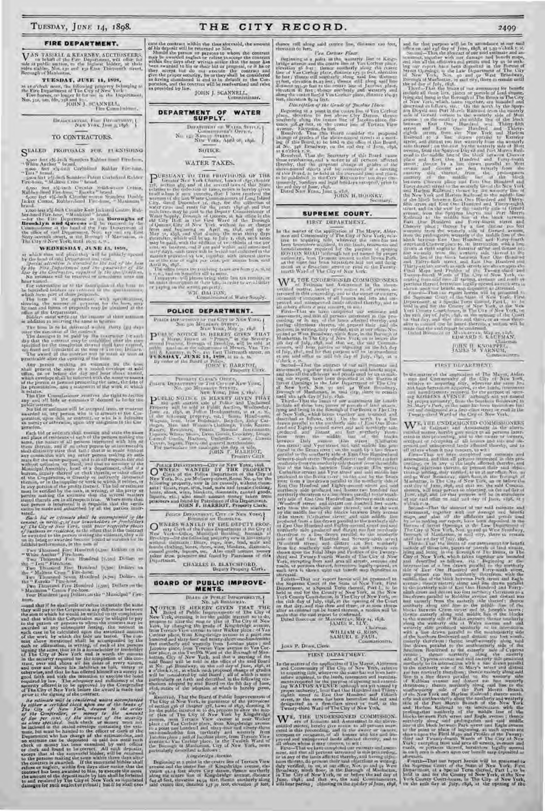TUESDAY, JUNE 14, 1898.

#### FIRE DEPARTMENT.

 $\begin{array}{l} \displaystyle \mathbf{V}^{\text{AN}} \text{ TASSEUL} \triangleq \text{REARAPV, MICTIUSEERS}, \\ \text{no behalf of the Fuc Depenmen, will offer for a state at public and the } \\ \text{no this analysis, Note, you and by Fau Dhtuwdt order, it is is to be  
flæpugly of Mahahatan, \end{array}$ 

TUESDAY, JUNE 11, 1808. at to obtain now, the following property belonging to the Fire Department of The Cry of New York. Five horses to import it is the Department New York. The horses of the Lagrangian in the Department,  $\begin{array}{r} \text{DHN J.} = \text{CAN$ 

 $\begin{array}{l} \mbox{Bicovariant, } \Gamma \mbox{on} \quad \mbox{Bicovariant} \\ \mbox{New York, } \mbox{Jow\_13p5.} \end{array}$ 

#### TO CONTRACTORS.

STALED PROPOSALS FOR PURSISHING

 $\begin{array}{ll} \bullet & \bullet & \bullet & \bullet & \bullet \\ \bullet & \bullet & \bullet & \bullet & \bullet \\ \bullet & \bullet & \bullet & \bullet & \bullet \\ \bullet & \bullet & \bullet & \bullet & \bullet \\ \bullet & \bullet & \bullet & \bullet & \bullet \\ \bullet & \bullet & \bullet & \bullet & \bullet \\ \bullet & \bullet & \bullet & \bullet & \bullet \\ \bullet & \bullet & \bullet & \bullet & \bullet \\ \bullet & \bullet & \bullet & \bullet & \bullet \\ \bullet & \bullet & \bullet & \bullet & \bullet \\ \bullet & \bullet & \bullet & \bullet & \bullet \\ \bullet & \bullet & \bullet & \bullet & \bullet \\ \bullet & \bullet & \bullet & \bullet & \bullet \\ \bullet & \bullet & \bullet & \bullet & \bullet \\ \bullet &$ 

frame was the final Counter Kan Jackson (autom Rubber) and the best started Final Counter the Department on the Boston Displaced by the Department of the best started by the Counter of the started by the Counter of the st

#### WEDNESDAY, JUNE 15, 1898.

are which there and place they will be pulledly uponed<br>by the lend of suid Department can see that the pulledly uponed<br>by the lend of suid Department in the fact of  $\tau$  are<br> $\delta\tau$  and  $\delta\tau$ . Here the distribution<br> $\Lambda$  i

Now by the temperature will be the<br>complete of contributions are the following term that the following<br>from the following of the contribution of the following term and the superson-to-<br> $\alpha$  in the following term of the su

procedure after the opening of the line of the lower Angle present the same in a scaled curvator at said office, on are the same in a scaled curvator which which when the present the discovered with the name or names when

**poration** 

When the matrix of contemporal space was assignment of the matrix<br>relation.<br>The figure of redefective of all the parameters and place of redefective<br>and the matrix of all the parameters in the state of the matrix of<br>the st

one person is from<br>the and substituted by all the parties inter-<br>cardinals make and substituted by all the parties inter-<br>steed, the article points shall be accompanied in the<br>dense of the street contribution of the stree

Four Hundred (400) Plotters on the "Municipal" F (n)-<br>
Fore,  $-$ and that  $|l|$  he shall omit or reduce to excentre the nume<br>
they will pay us the Griporation any difference between<br>
the stan to which he would be entitled

of the Little strained in the constraint and the strained of the relationship of the same of the same of the constraint.<br>The complete strained declines are the form of the same of the same of the second of the second of t

cate the contrast within the time aforesaid, the smoont of his deposit will be returned to him. Should the persons to whom, the contrast may be awarded neglect ar relates takeous the contrast within five-fiays after writt



 $\begin{array}{c} \text{Der} \mathbf{A} \text{symm} \rightarrow \mathbf{W} \text{sym} \text{Spec}(r, r) \\ \text{Commutative OPT} \\ \text{Neu} \rightarrow \mathbf{A} \text{max} \text{max} \text{max}(r, r, r) \\ \text{New Vants} \text{Arg} \text{arg} \text{min} \text{max} \text{max} \end{array}$ 

**NUTTLE** 

## WATER TAXES.

WATER TAAES.<br>
The BHV into the Control of the THE TRAFFIC THE UNITED ASSESS (For the Second of the second law of the second the second that the second the second the second the second the second the second the second the

WIL DALTON, Commissioner of Water Supply.

#### POLICE DEPARTMENT.

**CRADAY, JUNE 1980**, Police, BARRIOL, Dynaste of the Board of Police, BARRIOL, etc.

FRACE DEPARTMENT CLUBS ONCE IN NORTHERN CONTROL CONTROL IN THE ACT OF A REAL PROPERTY WILL AS THE SELECT OF A REAL PROPERTY WILL AS THE SALE OF A REAL PROPERTY WILL AS THE SALE PROPERTY WILL AS A REAL PROPERTY WILL ASSAUL

 $\begin{tabular}{l|c|c|c|c|c|c} \hline \textbf{Portice Previvaryal} & \textbf{Cerv} & \textbf{or New Your, i*60} \\ \hline \textbf{OWNEES} & \textbf{WANTIED} & \textbf{DY THE PROPEETV} \\ \hline \textbf{New York, } \textbf{S} & \textbf{tite} & \textbf{Tothe Deprems} & \textbf{tite} & \textbf{City} & \textbf{rite} \\ \hline \textbf{New York, } \textbf{S} & \textbf{tite} & \textbf{Tothe Deprems} & \textbf{tite} & \textbf{Rou, for the} \\ \hline \textbf{$ 

# Porate DEPARTMENT, CITY OF NEW YORK, BOROWED AT UNION VS.

Entropy of United States with the District of the District of the States of the States of the States of the States of the States of the States of the States of the States of the States of the States of the States of the St

**GHARLES D. BLATCHFORD.**<br>Deputy Property Clork.

#### BOARD OF PUBLIC IMPROVE-**MENTS.**

**IGNITS.**<br>
BOARD on Puntre IMPSONATORS, IS and the PLACE IS HEREN'S CIVEN THAT THE TREE IN Real of Public Improvements of The Lity of New York Tries in about the map or plan of The Lity of New York, by changing the grade

Finally, matter of the theoretical control is presented with the control of the state of the provision of section 436 of the provision of section 436 of the provision of section 436 of the control of the control of the con

#### A ingxbridge -tweener

Beginning at a print in the centre line of Terrace View<br>avenue and the entire line of Kingsbridge avenue, classroad the entire line of Kingsbridge avenue, class<br>action quality is not a principal and the centre in the stat

thence still along said centre line, distance aso feet,<br>elevation 60 best. For Cervar Place.

For Certain Florida, the state of the state of the state of the large atoms and the centre line at Vice Gordon plane, of the centre of the centre of the centre of the centre of the centre of the centre of the centre of th

Description of the Grade of Taxables Hace. 

ing of this Board, is an the sal day of this line of the real day of this are  $R^2$  or the space of the space of the discrete the three conductions, that the proposal boards of the discrete of the discrete of the discrete

#### SUPREME COURT. FIRST DEPARTMENT.

and the same factor is the same and the same scale in the same scale in the same scale in the same scale in the same scale in the same scale in the same scale in the same scale in the same scale in the same scale in the s

where we have the state of the state of the signal and the signal from the Suntain form of the Suide of New York, First the Benchmann Count of the Suide of New York, at the New York and for the City V can be also as the S

#### Jana P. Draw, Clerk. FIRST DEPARTMENT.

In the matter of the application of The Mayer, Afdermen and Community of The Cay of New York, relative in sequiting tire, where we the interesting and increding mention of the burden of the interesting mention of the inte

Twenty-third Ward of The City of New York,<br>
West York City of New York,<br>
West of Education and Associated in the above<br>
entitled mitter, hereby give column to all persons in our<br>
cordination is presenting, and to the abov

24499<br>
and for that purpose will be in automase at our said<br>become and automase at our said<br>of sourced automase will be in automase at our said<br>of sourced—Then the abstract of our scales are allowed by a<br> $z_1$  sourced—The

JOHN H. KNOWPER,

#### FIRST DEPARTMENT.

In the matter of the application of The Mayor, Aldresson and Common<br>algorithm of The Mayor, Aldresson and Commonly of the City of New York, relative to a<br>equating title, wherever the same first and hardconnect equation is

WE THE UNDERSIGNED COMMISSIONERS

SE. May 2 is the two states in the mass may be a state in the two states in the two states in the two states in the two states in the two states in the two states in the two states in the two states in the two states in t

aftermark. That me report between will be presented to the Superman three that is the special Term through that is the best of the best of the best of the head of the head of the best of the best of the best of the special

## THE CITY RECORD.